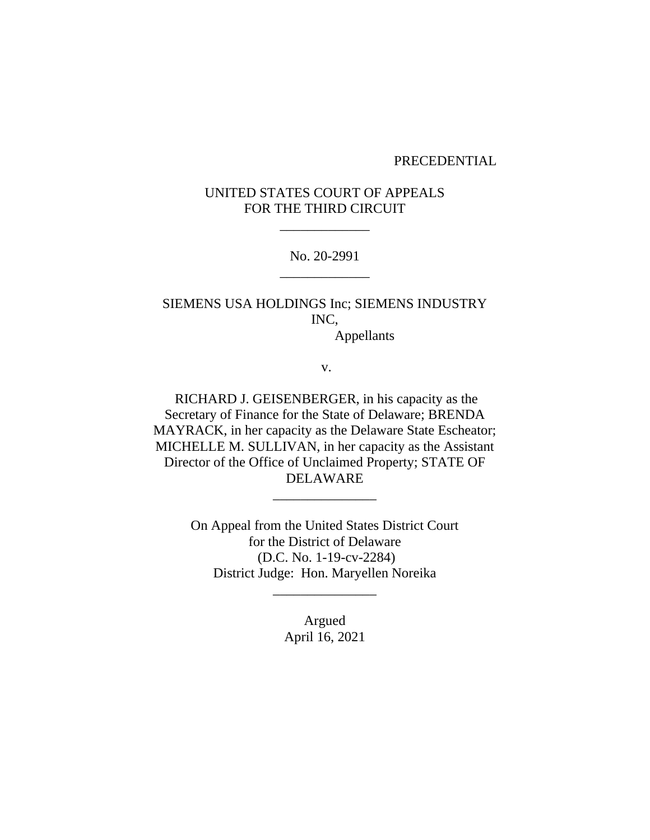#### PRECEDENTIAL

# UNITED STATES COURT OF APPEALS FOR THE THIRD CIRCUIT

\_\_\_\_\_\_\_\_\_\_\_\_\_

No. 20-2991 \_\_\_\_\_\_\_\_\_\_\_\_\_

SIEMENS USA HOLDINGS Inc; SIEMENS INDUSTRY INC,

Appellants

v.

RICHARD J. GEISENBERGER, in his capacity as the Secretary of Finance for the State of Delaware; BRENDA MAYRACK, in her capacity as the Delaware State Escheator; MICHELLE M. SULLIVAN, in her capacity as the Assistant Director of the Office of Unclaimed Property; STATE OF DELAWARE

\_\_\_\_\_\_\_\_\_\_\_\_\_\_\_

On Appeal from the United States District Court for the District of Delaware (D.C. No. 1-19-cv-2284) District Judge: Hon. Maryellen Noreika

\_\_\_\_\_\_\_\_\_\_\_\_\_\_\_

Argued April 16, 2021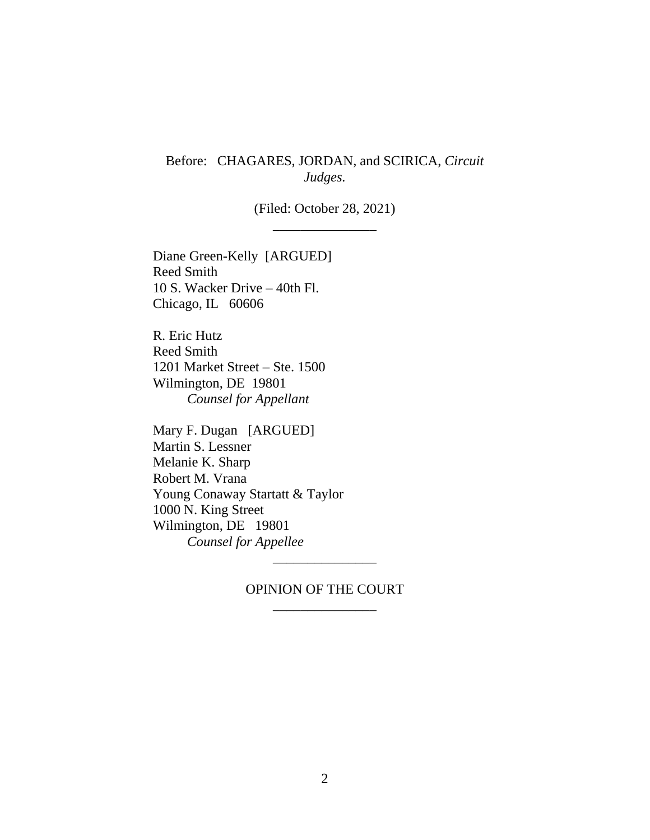# Before: CHAGARES, JORDAN, and SCIRICA, *Circuit Judges.*

(Filed: October 28, 2021) \_\_\_\_\_\_\_\_\_\_\_\_\_\_\_

Diane Green-Kelly [ARGUED] Reed Smith 10 S. Wacker Drive – 40th Fl. Chicago, IL 60606

R. Eric Hutz Reed Smith 1201 Market Street – Ste. 1500 Wilmington, DE 19801 *Counsel for Appellant*

Mary F. Dugan [ARGUED] Martin S. Lessner Melanie K. Sharp Robert M. Vrana Young Conaway Startatt & Taylor 1000 N. King Street Wilmington, DE 19801 *Counsel for Appellee*

> OPINION OF THE COURT \_\_\_\_\_\_\_\_\_\_\_\_\_\_\_

\_\_\_\_\_\_\_\_\_\_\_\_\_\_\_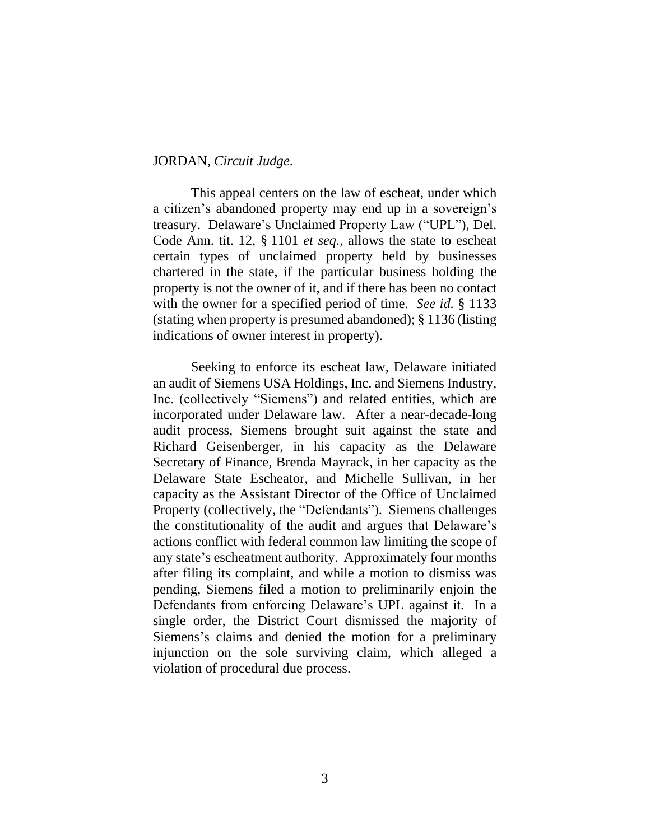#### JORDAN, *Circuit Judge*.

This appeal centers on the law of escheat, under which a citizen's abandoned property may end up in a sovereign's treasury. Delaware's Unclaimed Property Law ("UPL"), Del. Code Ann. tit. 12, § 1101 *et seq.*, allows the state to escheat certain types of unclaimed property held by businesses chartered in the state, if the particular business holding the property is not the owner of it, and if there has been no contact with the owner for a specified period of time. *See id.* § 1133 (stating when property is presumed abandoned); § 1136 (listing indications of owner interest in property).

Seeking to enforce its escheat law, Delaware initiated an audit of Siemens USA Holdings, Inc. and Siemens Industry, Inc. (collectively "Siemens") and related entities, which are incorporated under Delaware law. After a near-decade-long audit process, Siemens brought suit against the state and Richard Geisenberger, in his capacity as the Delaware Secretary of Finance, Brenda Mayrack, in her capacity as the Delaware State Escheator, and Michelle Sullivan, in her capacity as the Assistant Director of the Office of Unclaimed Property (collectively, the "Defendants"). Siemens challenges the constitutionality of the audit and argues that Delaware's actions conflict with federal common law limiting the scope of any state's escheatment authority. Approximately four months after filing its complaint, and while a motion to dismiss was pending, Siemens filed a motion to preliminarily enjoin the Defendants from enforcing Delaware's UPL against it. In a single order, the District Court dismissed the majority of Siemens's claims and denied the motion for a preliminary injunction on the sole surviving claim, which alleged a violation of procedural due process.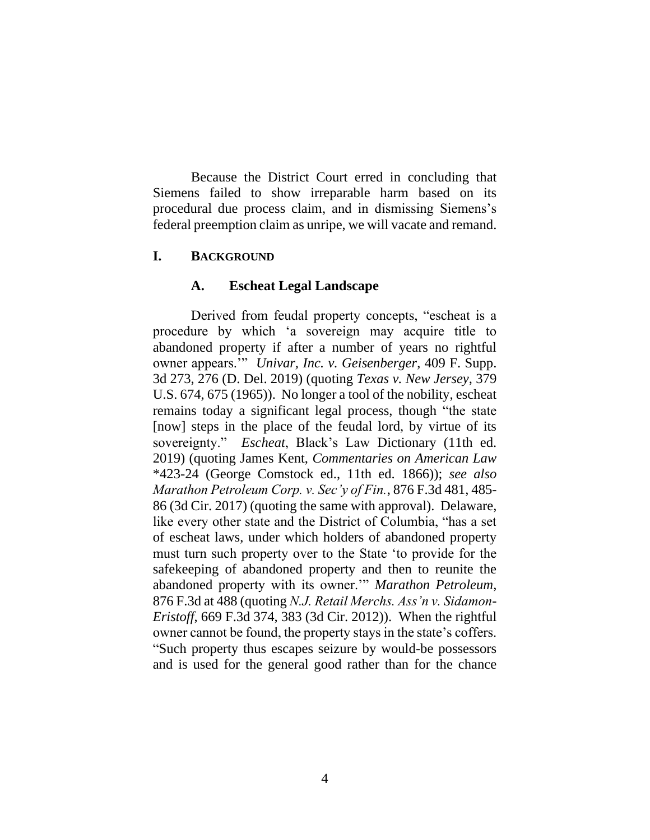Because the District Court erred in concluding that Siemens failed to show irreparable harm based on its procedural due process claim, and in dismissing Siemens's federal preemption claim as unripe, we will vacate and remand.

## **I. BACKGROUND**

#### **A. Escheat Legal Landscape**

Derived from feudal property concepts, "escheat is a procedure by which 'a sovereign may acquire title to abandoned property if after a number of years no rightful owner appears.'" *Univar, Inc. v. Geisenberger*, 409 F. Supp. 3d 273, 276 (D. Del. 2019) (quoting *Texas v. New Jersey*, 379 U.S. 674, 675 (1965)). No longer a tool of the nobility, escheat remains today a significant legal process, though "the state [now] steps in the place of the feudal lord, by virtue of its sovereignty." *Escheat*, Black's Law Dictionary (11th ed. 2019) (quoting James Kent, *Commentaries on American Law* \*423-24 (George Comstock ed., 11th ed. 1866)); *see also Marathon Petroleum Corp. v. Sec'y of Fin.*, 876 F.3d 481, 485- 86 (3d Cir. 2017) (quoting the same with approval). Delaware, like every other state and the District of Columbia, "has a set of escheat laws, under which holders of abandoned property must turn such property over to the State 'to provide for the safekeeping of abandoned property and then to reunite the abandoned property with its owner.'" *Marathon Petroleum*, 876 F.3d at 488 (quoting *N.J. Retail Merchs. Ass'n v. Sidamon-Eristoff*, 669 F.3d 374, 383 (3d Cir. 2012)). When the rightful owner cannot be found, the property stays in the state's coffers. "Such property thus escapes seizure by would-be possessors and is used for the general good rather than for the chance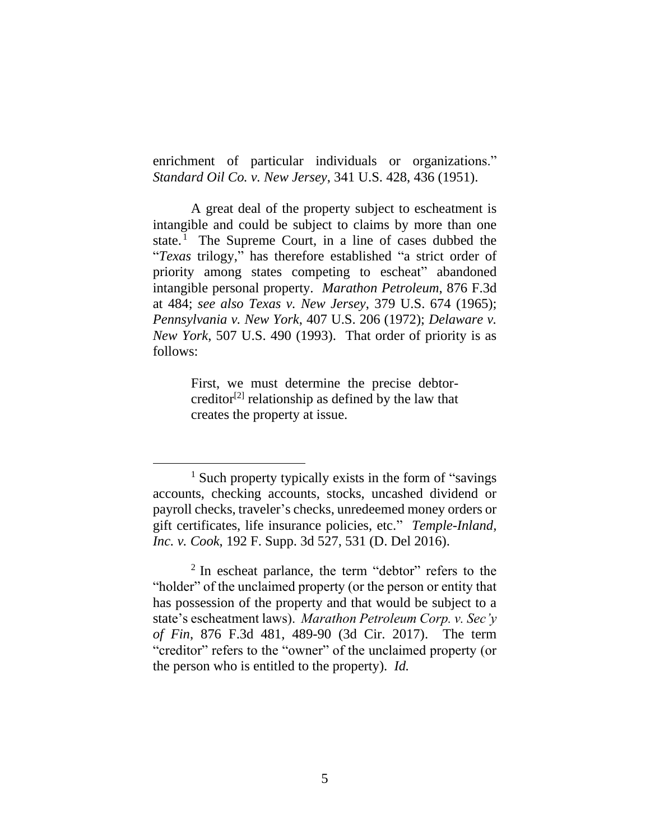enrichment of particular individuals or organizations." *Standard Oil Co. v. New Jersey*, 341 U.S. 428, 436 (1951).

A great deal of the property subject to escheatment is intangible and could be subject to claims by more than one state. <sup>1</sup> The Supreme Court, in a line of cases dubbed the "*Texas* trilogy," has therefore established "a strict order of priority among states competing to escheat" abandoned intangible personal property. *Marathon Petroleum*, 876 F.3d at 484; *see also Texas v. New Jersey*, 379 U.S. 674 (1965); *Pennsylvania v. New York*, 407 U.S. 206 (1972); *Delaware v. New York*, 507 U.S. 490 (1993). That order of priority is as follows:

> First, we must determine the precise debtorcreditor<sup>[2]</sup> relationship as defined by the law that creates the property at issue.

<sup>1</sup> Such property typically exists in the form of "savings accounts, checking accounts, stocks, uncashed dividend or payroll checks, traveler's checks, unredeemed money orders or gift certificates, life insurance policies, etc." *Temple-Inland, Inc. v. Cook*, 192 F. Supp. 3d 527, 531 (D. Del 2016).

<sup>&</sup>lt;sup>2</sup> In escheat parlance, the term "debtor" refers to the "holder" of the unclaimed property (or the person or entity that has possession of the property and that would be subject to a state's escheatment laws). *Marathon Petroleum Corp. v. Sec'y of Fin*, 876 F.3d 481, 489-90 (3d Cir. 2017). The term "creditor" refers to the "owner" of the unclaimed property (or the person who is entitled to the property). *Id.*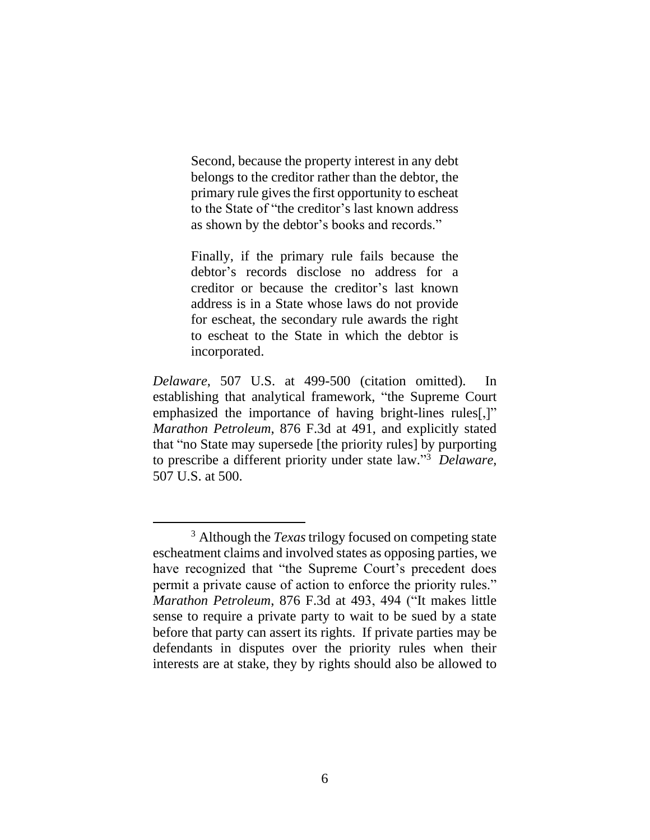Second, because the property interest in any debt belongs to the creditor rather than the debtor, the primary rule gives the first opportunity to escheat to the State of "the creditor's last known address as shown by the debtor's books and records."

Finally, if the primary rule fails because the debtor's records disclose no address for a creditor or because the creditor's last known address is in a State whose laws do not provide for escheat, the secondary rule awards the right to escheat to the State in which the debtor is incorporated.

*Delaware*, 507 U.S. at 499-500 (citation omitted). In establishing that analytical framework, "the Supreme Court emphasized the importance of having bright-lines rules[,]" *Marathon Petroleum*, 876 F.3d at 491, and explicitly stated that "no State may supersede [the priority rules] by purporting to prescribe a different priority under state law." 3 *Delaware*, 507 U.S. at 500.

<sup>3</sup> Although the *Texas* trilogy focused on competing state escheatment claims and involved states as opposing parties, we have recognized that "the Supreme Court's precedent does permit a private cause of action to enforce the priority rules." *Marathon Petroleum*, 876 F.3d at 493, 494 ("It makes little sense to require a private party to wait to be sued by a state before that party can assert its rights. If private parties may be defendants in disputes over the priority rules when their interests are at stake, they by rights should also be allowed to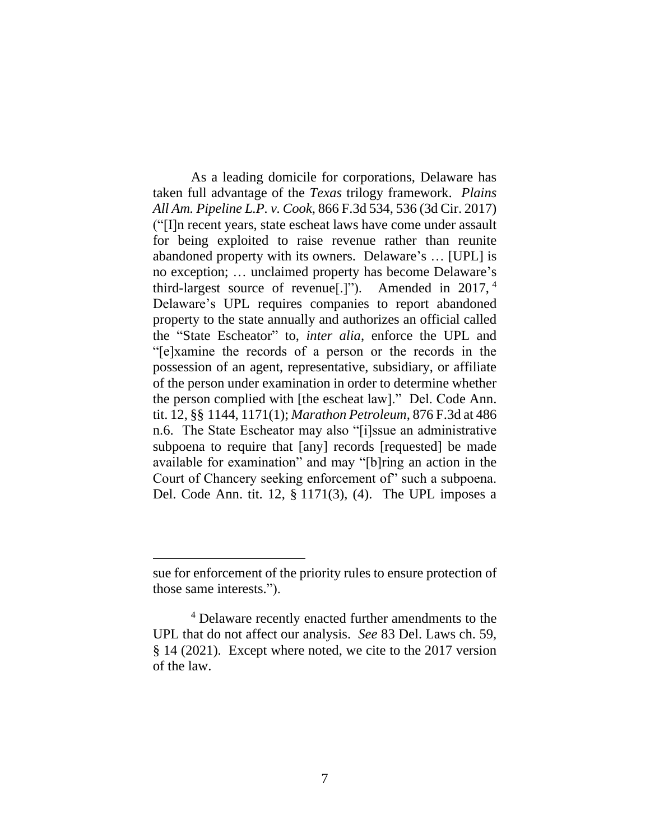As a leading domicile for corporations, Delaware has taken full advantage of the *Texas* trilogy framework. *Plains All Am. Pipeline L.P. v. Cook*, 866 F.3d 534, 536 (3d Cir. 2017) ("[I]n recent years, state escheat laws have come under assault for being exploited to raise revenue rather than reunite abandoned property with its owners. Delaware's … [UPL] is no exception; … unclaimed property has become Delaware's third-largest source of revenue[.]"). Amended in 2017, <sup>4</sup> Delaware's UPL requires companies to report abandoned property to the state annually and authorizes an official called the "State Escheator" to, *inter alia*, enforce the UPL and "[e]xamine the records of a person or the records in the possession of an agent, representative, subsidiary, or affiliate of the person under examination in order to determine whether the person complied with [the escheat law]." Del. Code Ann. tit. 12, §§ 1144, 1171(1); *Marathon Petroleum*, 876 F.3d at 486 n.6. The State Escheator may also "[i]ssue an administrative subpoena to require that [any] records [requested] be made available for examination" and may "[b]ring an action in the Court of Chancery seeking enforcement of" such a subpoena. Del. Code Ann. tit. 12, § 1171(3), (4). The UPL imposes a

sue for enforcement of the priority rules to ensure protection of those same interests.").

<sup>4</sup> Delaware recently enacted further amendments to the UPL that do not affect our analysis. *See* 83 Del. Laws ch. 59, § 14 (2021). Except where noted, we cite to the 2017 version of the law.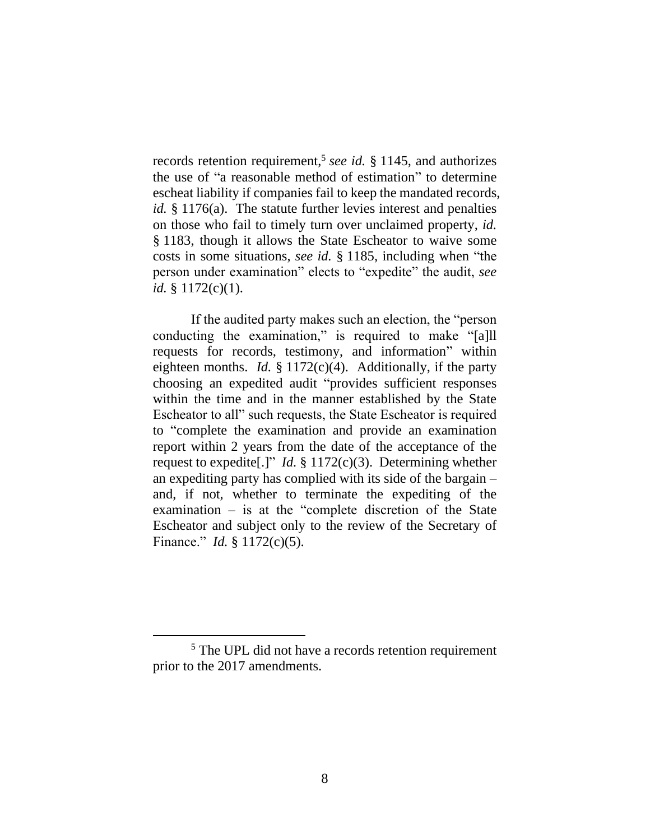records retention requirement,<sup>5</sup> see id. § 1145, and authorizes the use of "a reasonable method of estimation" to determine escheat liability if companies fail to keep the mandated records, *id.* § 1176(a). The statute further levies interest and penalties on those who fail to timely turn over unclaimed property, *id.* § 1183, though it allows the State Escheator to waive some costs in some situations, *see id.* § 1185, including when "the person under examination" elects to "expedite" the audit, *see id.* § 1172(c)(1).

If the audited party makes such an election, the "person conducting the examination," is required to make "[a]ll requests for records, testimony, and information" within eighteen months. *Id.* § 1172(c)(4). Additionally, if the party choosing an expedited audit "provides sufficient responses within the time and in the manner established by the State Escheator to all" such requests, the State Escheator is required to "complete the examination and provide an examination report within 2 years from the date of the acceptance of the request to expedite[.]" *Id.* § 1172(c)(3). Determining whether an expediting party has complied with its side of the bargain – and, if not, whether to terminate the expediting of the examination – is at the "complete discretion of the State Escheator and subject only to the review of the Secretary of Finance." *Id.* § 1172(c)(5).

<sup>5</sup> The UPL did not have a records retention requirement prior to the 2017 amendments.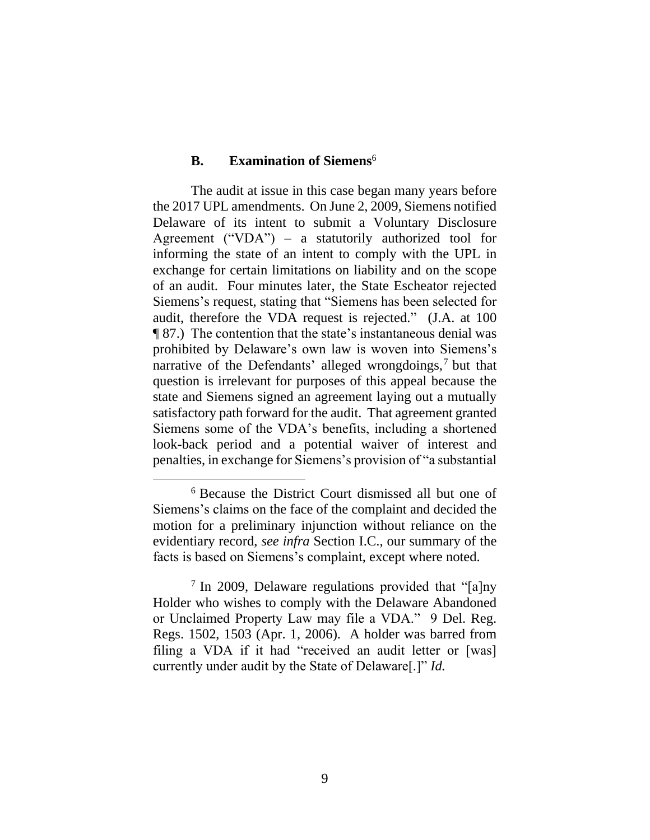#### **B. Examination of Siemens**<sup>6</sup>

The audit at issue in this case began many years before the 2017 UPL amendments. On June 2, 2009, Siemens notified Delaware of its intent to submit a Voluntary Disclosure Agreement ("VDA") – a statutorily authorized tool for informing the state of an intent to comply with the UPL in exchange for certain limitations on liability and on the scope of an audit. Four minutes later, the State Escheator rejected Siemens's request, stating that "Siemens has been selected for audit, therefore the VDA request is rejected." (J.A. at 100 ¶ 87.) The contention that the state's instantaneous denial was prohibited by Delaware's own law is woven into Siemens's narrative of the Defendants' alleged wrongdoings,<sup>7</sup> but that question is irrelevant for purposes of this appeal because the state and Siemens signed an agreement laying out a mutually satisfactory path forward for the audit. That agreement granted Siemens some of the VDA's benefits, including a shortened look-back period and a potential waiver of interest and penalties, in exchange for Siemens's provision of "a substantial

<sup>6</sup> Because the District Court dismissed all but one of Siemens's claims on the face of the complaint and decided the motion for a preliminary injunction without reliance on the evidentiary record, *see infra* Section I.C., our summary of the facts is based on Siemens's complaint, except where noted.

<sup>&</sup>lt;sup>7</sup> In 2009, Delaware regulations provided that "[a]ny Holder who wishes to comply with the Delaware Abandoned or Unclaimed Property Law may file a VDA." 9 Del. Reg. Regs. 1502, 1503 (Apr. 1, 2006). A holder was barred from filing a VDA if it had "received an audit letter or [was] currently under audit by the State of Delaware[.]" *Id.*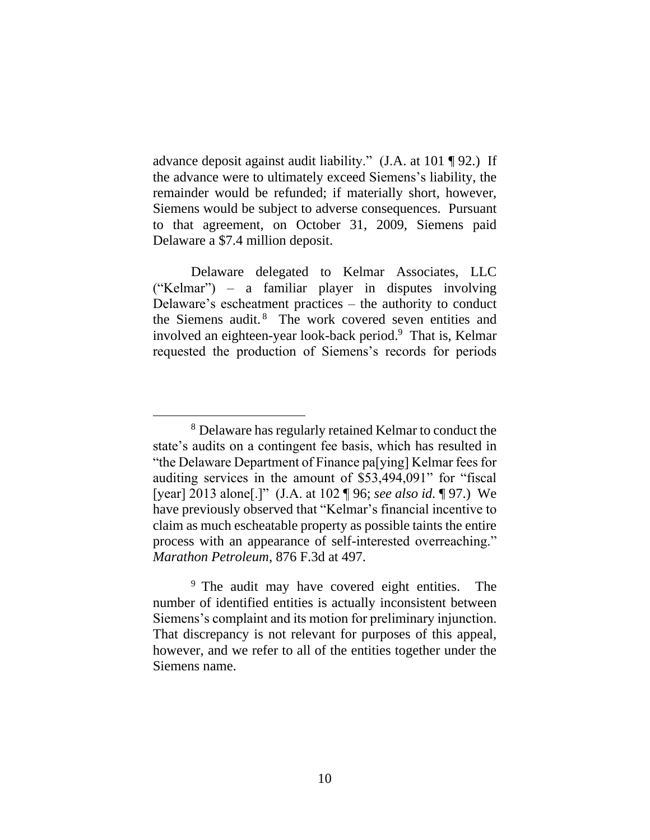advance deposit against audit liability." (J.A. at 101 ¶ 92.) If the advance were to ultimately exceed Siemens's liability, the remainder would be refunded; if materially short, however, Siemens would be subject to adverse consequences. Pursuant to that agreement, on October 31, 2009, Siemens paid Delaware a \$7.4 million deposit.

Delaware delegated to Kelmar Associates, LLC ("Kelmar") – a familiar player in disputes involving Delaware's escheatment practices – the authority to conduct the Siemens audit.<sup>8</sup> The work covered seven entities and involved an eighteen-year look-back period.<sup>9</sup> That is, Kelmar requested the production of Siemens's records for periods

<sup>8</sup> Delaware has regularly retained Kelmar to conduct the state's audits on a contingent fee basis, which has resulted in "the Delaware Department of Finance pa[ying] Kelmar fees for auditing services in the amount of \$53,494,091" for "fiscal [year] 2013 alone[.]" (J.A. at 102 ¶ 96; *see also id.* ¶ 97.) We have previously observed that "Kelmar's financial incentive to claim as much escheatable property as possible taints the entire process with an appearance of self-interested overreaching." *Marathon Petroleum*, 876 F.3d at 497.

<sup>&</sup>lt;sup>9</sup> The audit may have covered eight entities. The number of identified entities is actually inconsistent between Siemens's complaint and its motion for preliminary injunction. That discrepancy is not relevant for purposes of this appeal, however, and we refer to all of the entities together under the Siemens name.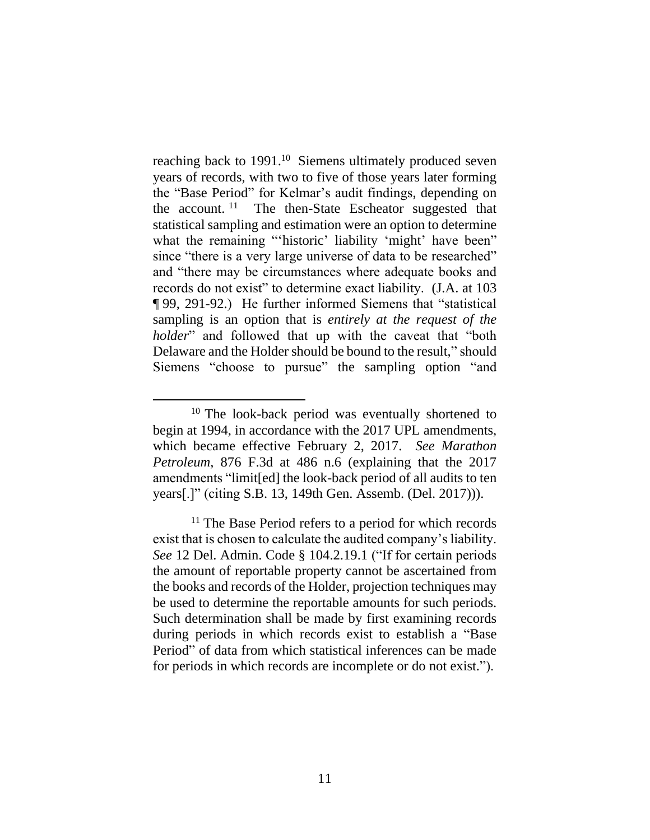reaching back to 1991.<sup>10</sup> Siemens ultimately produced seven years of records, with two to five of those years later forming the "Base Period" for Kelmar's audit findings, depending on the account.<sup>11</sup> The then-State Escheator suggested that statistical sampling and estimation were an option to determine what the remaining "'historic' liability 'might' have been" since "there is a very large universe of data to be researched" and "there may be circumstances where adequate books and records do not exist" to determine exact liability. (J.A. at 103 ¶ 99, 291-92.) He further informed Siemens that "statistical sampling is an option that is *entirely at the request of the holder*" and followed that up with the caveat that "both Delaware and the Holder should be bound to the result," should Siemens "choose to pursue" the sampling option "and

<sup>&</sup>lt;sup>10</sup> The look-back period was eventually shortened to begin at 1994, in accordance with the 2017 UPL amendments, which became effective February 2, 2017. *See Marathon Petroleum*, 876 F.3d at 486 n.6 (explaining that the 2017 amendments "limit[ed] the look-back period of all audits to ten years[.]" (citing S.B. 13, 149th Gen. Assemb. (Del. 2017))).

<sup>&</sup>lt;sup>11</sup> The Base Period refers to a period for which records exist that is chosen to calculate the audited company's liability. *See* 12 Del. Admin. Code § 104.2.19.1 ("If for certain periods the amount of reportable property cannot be ascertained from the books and records of the Holder, projection techniques may be used to determine the reportable amounts for such periods. Such determination shall be made by first examining records during periods in which records exist to establish a "Base Period" of data from which statistical inferences can be made for periods in which records are incomplete or do not exist.").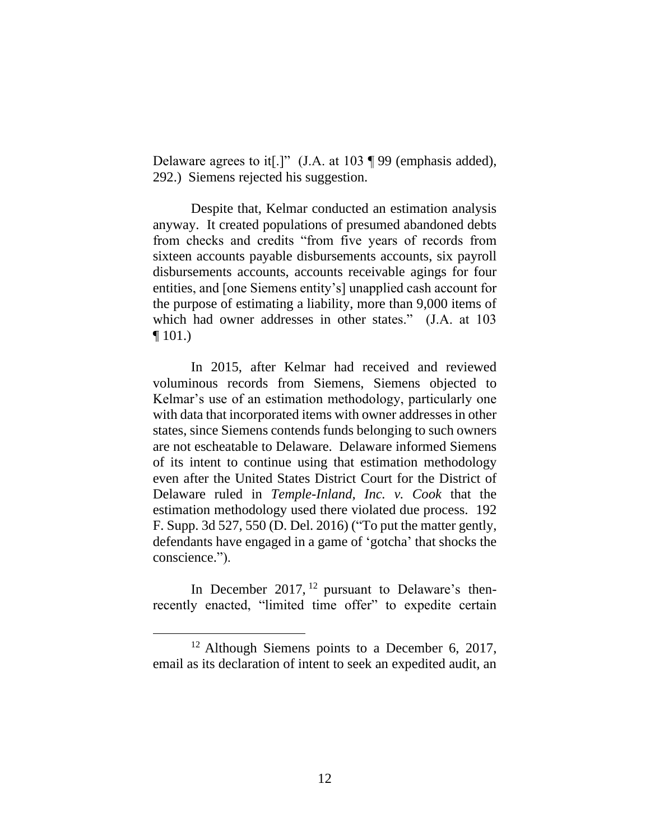Delaware agrees to it[.]" (J.A. at 103 ¶ 99 (emphasis added), 292.) Siemens rejected his suggestion.

Despite that, Kelmar conducted an estimation analysis anyway. It created populations of presumed abandoned debts from checks and credits "from five years of records from sixteen accounts payable disbursements accounts, six payroll disbursements accounts, accounts receivable agings for four entities, and [one Siemens entity's] unapplied cash account for the purpose of estimating a liability, more than 9,000 items of which had owner addresses in other states." (J.A. at 103  $\P$  101.)

In 2015, after Kelmar had received and reviewed voluminous records from Siemens, Siemens objected to Kelmar's use of an estimation methodology, particularly one with data that incorporated items with owner addresses in other states, since Siemens contends funds belonging to such owners are not escheatable to Delaware. Delaware informed Siemens of its intent to continue using that estimation methodology even after the United States District Court for the District of Delaware ruled in *Temple-Inland, Inc. v. Cook* that the estimation methodology used there violated due process. 192 F. Supp. 3d 527, 550 (D. Del. 2016) ("To put the matter gently, defendants have engaged in a game of 'gotcha' that shocks the conscience.").

In December 2017,  $12$  pursuant to Delaware's thenrecently enacted, "limited time offer" to expedite certain

 $12$  Although Siemens points to a December 6, 2017, email as its declaration of intent to seek an expedited audit, an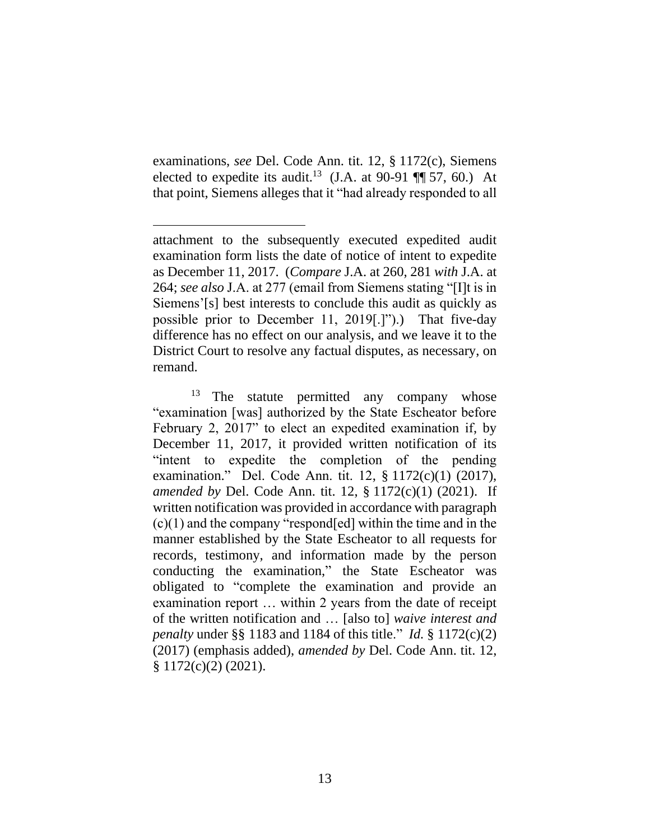examinations, *see* Del. Code Ann. tit. 12, § 1172(c), Siemens elected to expedite its audit.<sup>13</sup> (J.A. at 90-91  $\P$  57, 60.) At that point, Siemens alleges that it "had already responded to all

attachment to the subsequently executed expedited audit examination form lists the date of notice of intent to expedite as December 11, 2017. (*Compare* J.A. at 260, 281 *with* J.A. at 264; *see also* J.A. at 277 (email from Siemens stating "[I]t is in Siemens'[s] best interests to conclude this audit as quickly as possible prior to December 11, 2019[.]").) That five-day difference has no effect on our analysis, and we leave it to the District Court to resolve any factual disputes, as necessary, on remand.

<sup>&</sup>lt;sup>13</sup> The statute permitted any company whose "examination [was] authorized by the State Escheator before February 2, 2017" to elect an expedited examination if, by December 11, 2017, it provided written notification of its "intent to expedite the completion of the pending examination." Del. Code Ann. tit. 12, § 1172(c)(1) (2017), *amended by* Del. Code Ann. tit. 12, § 1172(c)(1) (2021). If written notification was provided in accordance with paragraph (c)(1) and the company "respond[ed] within the time and in the manner established by the State Escheator to all requests for records, testimony, and information made by the person conducting the examination," the State Escheator was obligated to "complete the examination and provide an examination report … within 2 years from the date of receipt of the written notification and … [also to] *waive interest and penalty* under §§ 1183 and 1184 of this title." *Id.* § 1172(c)(2) (2017) (emphasis added), *amended by* Del. Code Ann. tit. 12,  $$1172(c)(2)(2021).$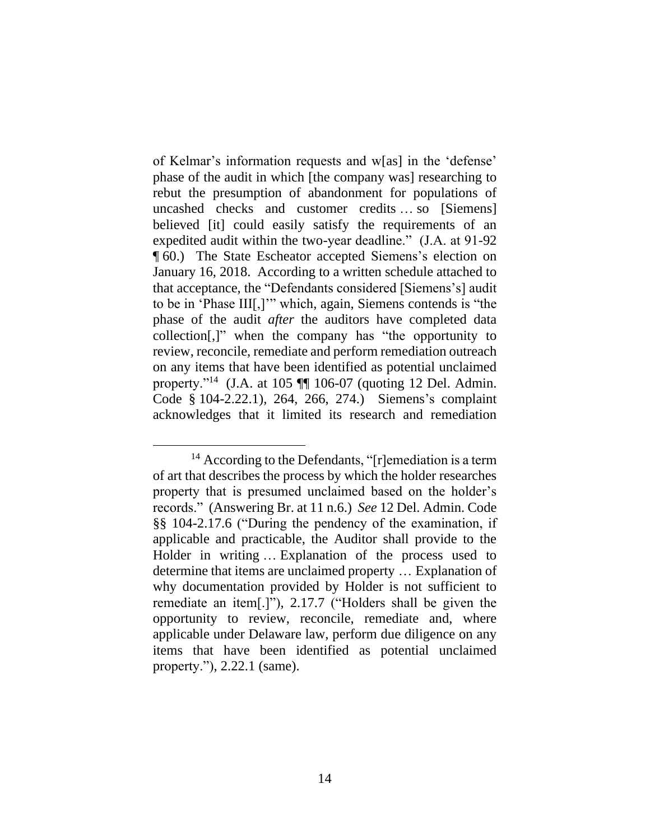of Kelmar's information requests and w[as] in the 'defense' phase of the audit in which [the company was] researching to rebut the presumption of abandonment for populations of uncashed checks and customer credits … so [Siemens] believed [it] could easily satisfy the requirements of an expedited audit within the two-year deadline." (J.A. at 91-92 ¶ 60.) The State Escheator accepted Siemens's election on January 16, 2018. According to a written schedule attached to that acceptance, the "Defendants considered [Siemens's] audit to be in 'Phase III[,]'" which, again, Siemens contends is "the phase of the audit *after* the auditors have completed data collection[,]" when the company has "the opportunity to review, reconcile, remediate and perform remediation outreach on any items that have been identified as potential unclaimed property."<sup>14</sup> (J.A. at 105 ¶¶ 106-07 (quoting 12 Del. Admin. Code § 104-2.22.1), 264, 266, 274.) Siemens's complaint acknowledges that it limited its research and remediation

<sup>&</sup>lt;sup>14</sup> According to the Defendants, "[r]emediation is a term of art that describes the process by which the holder researches property that is presumed unclaimed based on the holder's records." (Answering Br. at 11 n.6.) *See* 12 Del. Admin. Code §§ 104-2.17.6 ("During the pendency of the examination, if applicable and practicable, the Auditor shall provide to the Holder in writing … Explanation of the process used to determine that items are unclaimed property … Explanation of why documentation provided by Holder is not sufficient to remediate an item[.]"), 2.17.7 ("Holders shall be given the opportunity to review, reconcile, remediate and, where applicable under Delaware law, perform due diligence on any items that have been identified as potential unclaimed property."), 2.22.1 (same).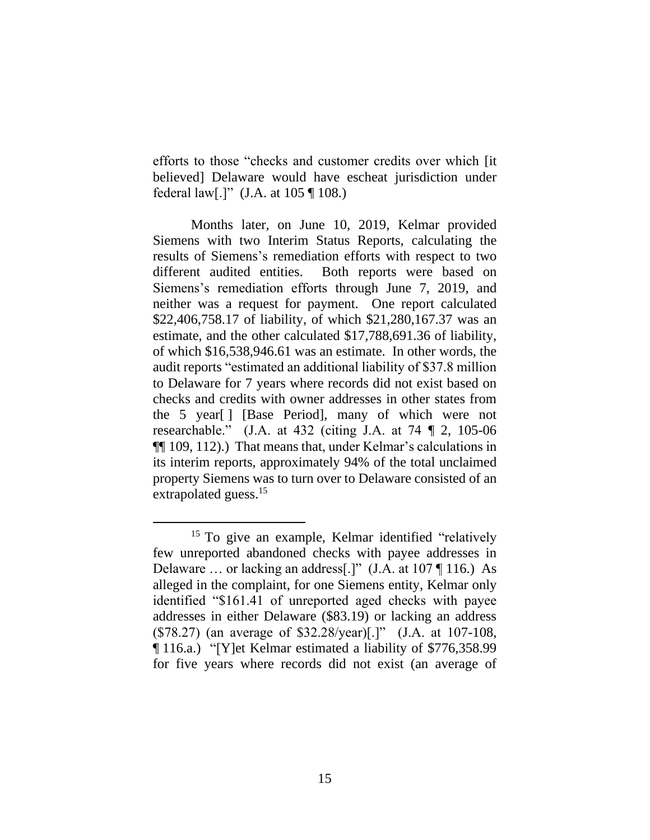efforts to those "checks and customer credits over which [it believed] Delaware would have escheat jurisdiction under federal law[.]" (J.A. at 105 ¶ 108.)

Months later, on June 10, 2019, Kelmar provided Siemens with two Interim Status Reports, calculating the results of Siemens's remediation efforts with respect to two different audited entities. Both reports were based on Siemens's remediation efforts through June 7, 2019, and neither was a request for payment. One report calculated \$22,406,758.17 of liability, of which \$21,280,167.37 was an estimate, and the other calculated \$17,788,691.36 of liability, of which \$16,538,946.61 was an estimate. In other words, the audit reports "estimated an additional liability of \$37.8 million to Delaware for 7 years where records did not exist based on checks and credits with owner addresses in other states from the 5 year[ ] [Base Period], many of which were not researchable." (J.A. at 432 (citing J.A. at 74 ¶ 2, 105-06 ¶¶ 109, 112).) That means that, under Kelmar's calculations in its interim reports, approximately 94% of the total unclaimed property Siemens was to turn over to Delaware consisted of an extrapolated guess.<sup>15</sup>

<sup>&</sup>lt;sup>15</sup> To give an example, Kelmar identified "relatively few unreported abandoned checks with payee addresses in Delaware … or lacking an address[.]" (J.A. at 107 ¶ 116.) As alleged in the complaint, for one Siemens entity, Kelmar only identified "\$161.41 of unreported aged checks with payee addresses in either Delaware (\$83.19) or lacking an address (\$78.27) (an average of \$32.28/year)[.]" (J.A. at 107-108, ¶ 116.a.) "[Y]et Kelmar estimated a liability of \$776,358.99 for five years where records did not exist (an average of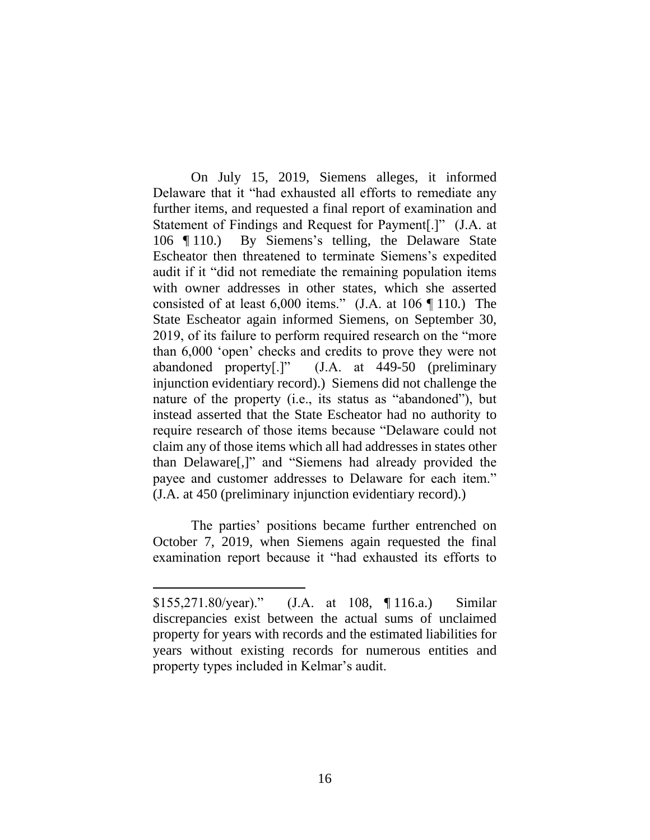On July 15, 2019, Siemens alleges, it informed Delaware that it "had exhausted all efforts to remediate any further items, and requested a final report of examination and Statement of Findings and Request for Payment[.]" (J.A. at 106 ¶ 110.) By Siemens's telling, the Delaware State Escheator then threatened to terminate Siemens's expedited audit if it "did not remediate the remaining population items with owner addresses in other states, which she asserted consisted of at least 6,000 items." (J.A. at 106 ¶ 110.) The State Escheator again informed Siemens, on September 30, 2019, of its failure to perform required research on the "more than 6,000 'open' checks and credits to prove they were not abandoned property[.]" (J.A. at 449-50 (preliminary injunction evidentiary record).) Siemens did not challenge the nature of the property (i.e., its status as "abandoned"), but instead asserted that the State Escheator had no authority to require research of those items because "Delaware could not claim any of those items which all had addresses in states other than Delaware[,]" and "Siemens had already provided the payee and customer addresses to Delaware for each item." (J.A. at 450 (preliminary injunction evidentiary record).)

The parties' positions became further entrenched on October 7, 2019, when Siemens again requested the final examination report because it "had exhausted its efforts to

<sup>\$155,271.80/</sup>year)." (J.A. at 108, ¶ 116.a.) Similar discrepancies exist between the actual sums of unclaimed property for years with records and the estimated liabilities for years without existing records for numerous entities and property types included in Kelmar's audit.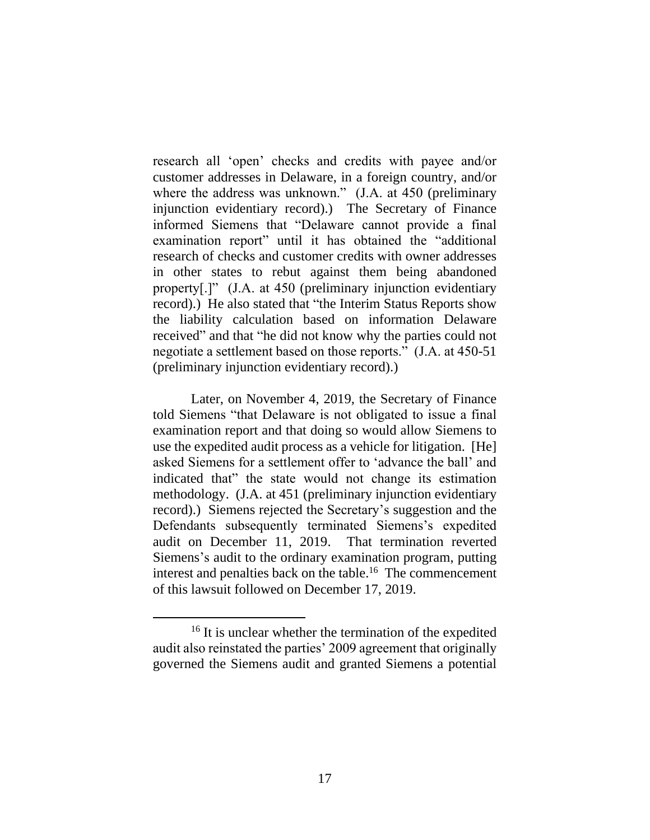research all 'open' checks and credits with payee and/or customer addresses in Delaware, in a foreign country, and/or where the address was unknown." (J.A. at 450 (preliminary injunction evidentiary record).) The Secretary of Finance informed Siemens that "Delaware cannot provide a final examination report" until it has obtained the "additional research of checks and customer credits with owner addresses in other states to rebut against them being abandoned property[.]" (J.A. at 450 (preliminary injunction evidentiary record).) He also stated that "the Interim Status Reports show the liability calculation based on information Delaware received" and that "he did not know why the parties could not negotiate a settlement based on those reports." (J.A. at 450-51 (preliminary injunction evidentiary record).)

Later, on November 4, 2019, the Secretary of Finance told Siemens "that Delaware is not obligated to issue a final examination report and that doing so would allow Siemens to use the expedited audit process as a vehicle for litigation. [He] asked Siemens for a settlement offer to 'advance the ball' and indicated that" the state would not change its estimation methodology. (J.A. at 451 (preliminary injunction evidentiary record).) Siemens rejected the Secretary's suggestion and the Defendants subsequently terminated Siemens's expedited audit on December 11, 2019. That termination reverted Siemens's audit to the ordinary examination program, putting interest and penalties back on the table. 16 The commencement of this lawsuit followed on December 17, 2019.

<sup>&</sup>lt;sup>16</sup> It is unclear whether the termination of the expedited audit also reinstated the parties' 2009 agreement that originally governed the Siemens audit and granted Siemens a potential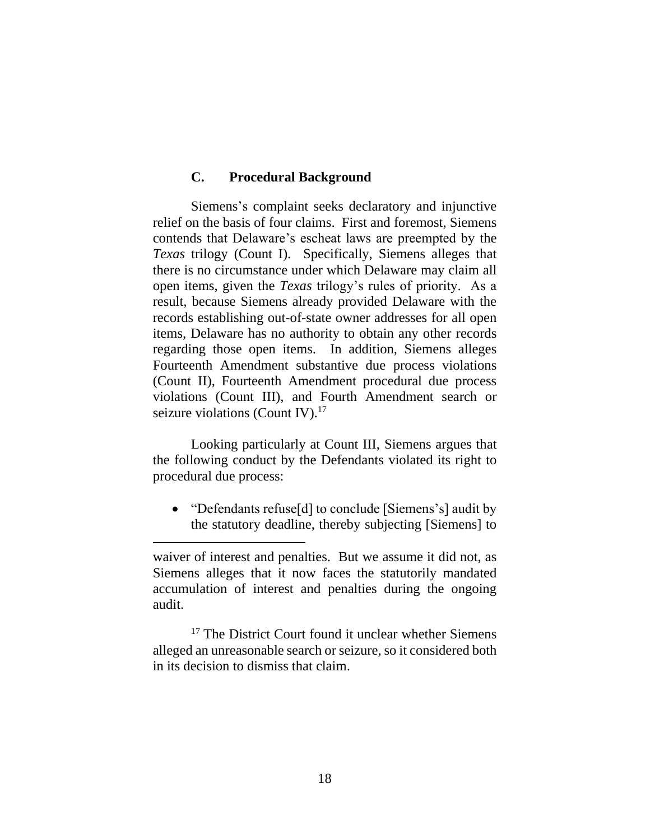### **C. Procedural Background**

Siemens's complaint seeks declaratory and injunctive relief on the basis of four claims. First and foremost, Siemens contends that Delaware's escheat laws are preempted by the *Texas* trilogy (Count I). Specifically, Siemens alleges that there is no circumstance under which Delaware may claim all open items, given the *Texas* trilogy's rules of priority. As a result, because Siemens already provided Delaware with the records establishing out-of-state owner addresses for all open items, Delaware has no authority to obtain any other records regarding those open items. In addition, Siemens alleges Fourteenth Amendment substantive due process violations (Count II), Fourteenth Amendment procedural due process violations (Count III), and Fourth Amendment search or seizure violations (Count IV).<sup>17</sup>

Looking particularly at Count III, Siemens argues that the following conduct by the Defendants violated its right to procedural due process:

• "Defendants refuse[d] to conclude [Siemens's] audit by the statutory deadline, thereby subjecting [Siemens] to

<sup>17</sup> The District Court found it unclear whether Siemens alleged an unreasonable search or seizure, so it considered both in its decision to dismiss that claim.

waiver of interest and penalties. But we assume it did not, as Siemens alleges that it now faces the statutorily mandated accumulation of interest and penalties during the ongoing audit.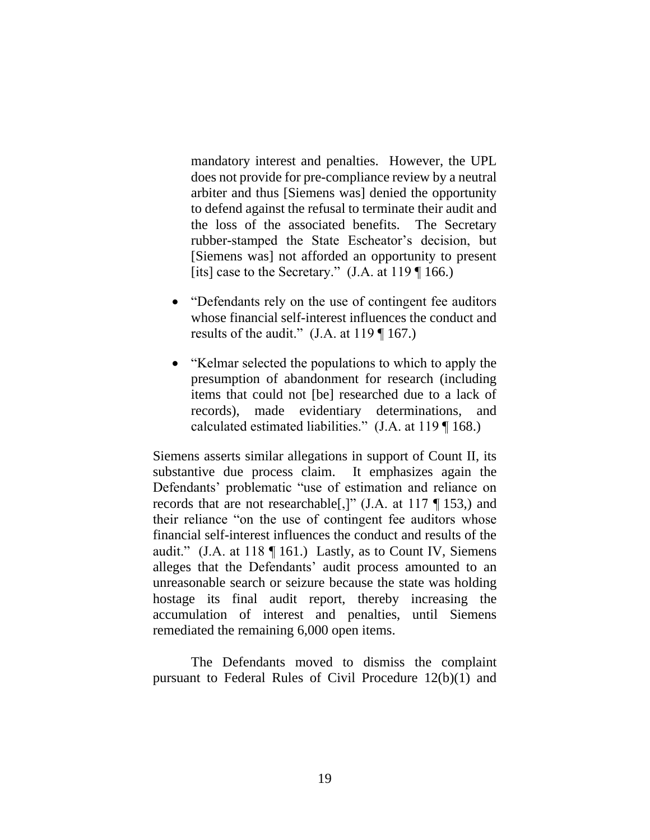mandatory interest and penalties. However, the UPL does not provide for pre-compliance review by a neutral arbiter and thus [Siemens was] denied the opportunity to defend against the refusal to terminate their audit and the loss of the associated benefits. The Secretary rubber-stamped the State Escheator's decision, but [Siemens was] not afforded an opportunity to present [its] case to the Secretary."  $(J.A. at 119 \text{ T}166.)$ 

- "Defendants rely on the use of contingent fee auditors" whose financial self-interest influences the conduct and results of the audit."  $(J.A. at 119 \text{ T} 167.)$
- "Kelmar selected the populations to which to apply the presumption of abandonment for research (including items that could not [be] researched due to a lack of records), made evidentiary determinations, and calculated estimated liabilities." (J.A. at 119 ¶ 168.)

Siemens asserts similar allegations in support of Count II, its substantive due process claim. It emphasizes again the Defendants' problematic "use of estimation and reliance on records that are not researchable[,]" (J.A. at 117 ¶ 153,) and their reliance "on the use of contingent fee auditors whose financial self-interest influences the conduct and results of the audit." (J.A. at 118 ¶ 161.) Lastly, as to Count IV, Siemens alleges that the Defendants' audit process amounted to an unreasonable search or seizure because the state was holding hostage its final audit report, thereby increasing the accumulation of interest and penalties, until Siemens remediated the remaining 6,000 open items.

The Defendants moved to dismiss the complaint pursuant to Federal Rules of Civil Procedure 12(b)(1) and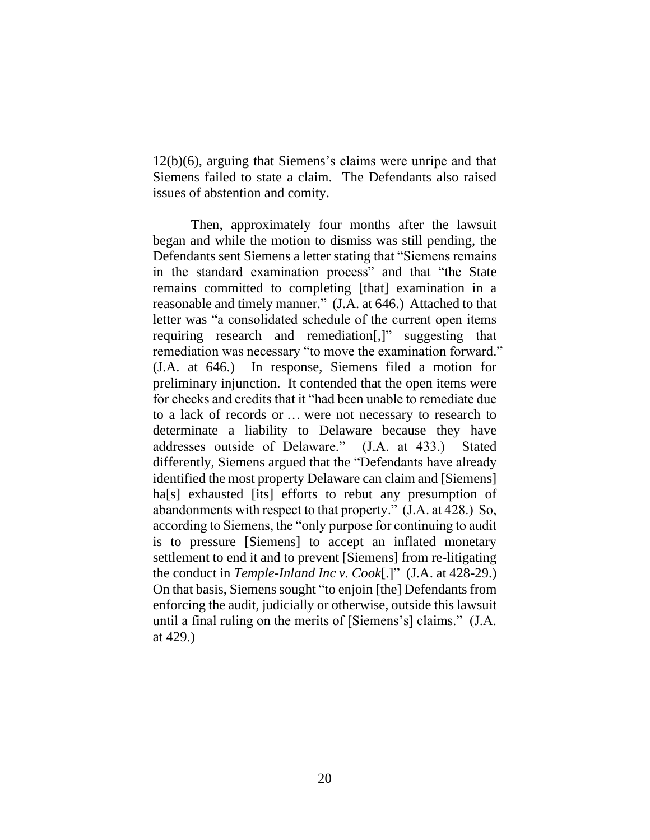12(b)(6), arguing that Siemens's claims were unripe and that Siemens failed to state a claim. The Defendants also raised issues of abstention and comity.

Then, approximately four months after the lawsuit began and while the motion to dismiss was still pending, the Defendants sent Siemens a letter stating that "Siemens remains in the standard examination process" and that "the State remains committed to completing [that] examination in a reasonable and timely manner." (J.A. at 646.) Attached to that letter was "a consolidated schedule of the current open items requiring research and remediation[,]" suggesting that remediation was necessary "to move the examination forward." (J.A. at 646.) In response, Siemens filed a motion for preliminary injunction. It contended that the open items were for checks and credits that it "had been unable to remediate due to a lack of records or … were not necessary to research to determinate a liability to Delaware because they have addresses outside of Delaware." (J.A. at 433.) Stated differently, Siemens argued that the "Defendants have already identified the most property Delaware can claim and [Siemens] ha<sup>[s]</sup> exhausted [its] efforts to rebut any presumption of abandonments with respect to that property." (J.A. at 428.) So, according to Siemens, the "only purpose for continuing to audit is to pressure [Siemens] to accept an inflated monetary settlement to end it and to prevent [Siemens] from re-litigating the conduct in *Temple-Inland Inc v. Cook*[.]" (J.A. at 428-29.) On that basis, Siemens sought "to enjoin [the] Defendants from enforcing the audit, judicially or otherwise, outside this lawsuit until a final ruling on the merits of [Siemens's] claims." (J.A. at 429.)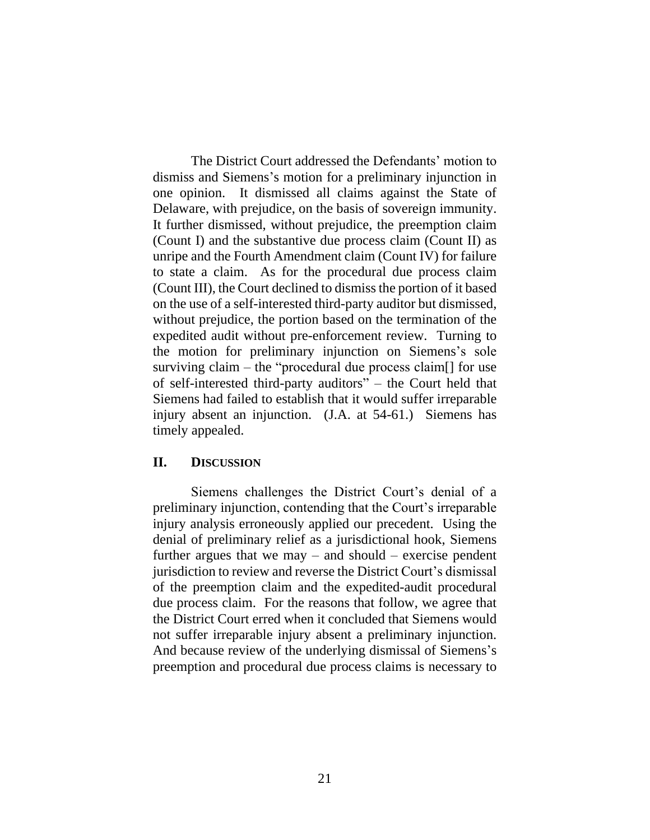The District Court addressed the Defendants' motion to dismiss and Siemens's motion for a preliminary injunction in one opinion. It dismissed all claims against the State of Delaware, with prejudice, on the basis of sovereign immunity. It further dismissed, without prejudice, the preemption claim (Count I) and the substantive due process claim (Count II) as unripe and the Fourth Amendment claim (Count IV) for failure to state a claim. As for the procedural due process claim (Count III), the Court declined to dismiss the portion of it based on the use of a self-interested third-party auditor but dismissed, without prejudice, the portion based on the termination of the expedited audit without pre-enforcement review. Turning to the motion for preliminary injunction on Siemens's sole surviving claim – the "procedural due process claim[] for use of self-interested third-party auditors" – the Court held that Siemens had failed to establish that it would suffer irreparable injury absent an injunction. (J.A. at 54-61.) Siemens has timely appealed.

## **II. DISCUSSION**

Siemens challenges the District Court's denial of a preliminary injunction, contending that the Court's irreparable injury analysis erroneously applied our precedent. Using the denial of preliminary relief as a jurisdictional hook, Siemens further argues that we may  $-$  and should  $-$  exercise pendent jurisdiction to review and reverse the District Court's dismissal of the preemption claim and the expedited-audit procedural due process claim. For the reasons that follow, we agree that the District Court erred when it concluded that Siemens would not suffer irreparable injury absent a preliminary injunction. And because review of the underlying dismissal of Siemens's preemption and procedural due process claims is necessary to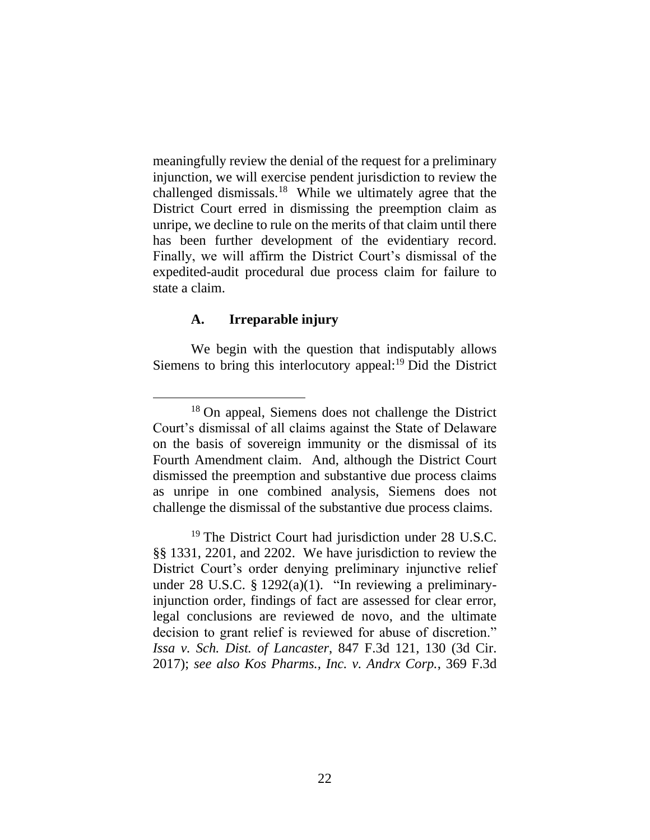meaningfully review the denial of the request for a preliminary injunction, we will exercise pendent jurisdiction to review the challenged dismissals.<sup>18</sup> While we ultimately agree that the District Court erred in dismissing the preemption claim as unripe, we decline to rule on the merits of that claim until there has been further development of the evidentiary record. Finally, we will affirm the District Court's dismissal of the expedited-audit procedural due process claim for failure to state a claim.

### **A. Irreparable injury**

We begin with the question that indisputably allows Siemens to bring this interlocutory appeal:<sup>19</sup> Did the District

<sup>18</sup> On appeal, Siemens does not challenge the District Court's dismissal of all claims against the State of Delaware on the basis of sovereign immunity or the dismissal of its Fourth Amendment claim. And, although the District Court dismissed the preemption and substantive due process claims as unripe in one combined analysis, Siemens does not challenge the dismissal of the substantive due process claims.

<sup>19</sup> The District Court had jurisdiction under 28 U.S.C. §§ 1331, 2201, and 2202. We have jurisdiction to review the District Court's order denying preliminary injunctive relief under 28 U.S.C. § 1292(a)(1). "In reviewing a preliminaryinjunction order, findings of fact are assessed for clear error, legal conclusions are reviewed de novo, and the ultimate decision to grant relief is reviewed for abuse of discretion." *Issa v. Sch. Dist. of Lancaster*, 847 F.3d 121, 130 (3d Cir. 2017); *see also Kos Pharms., Inc. v. Andrx Corp.*, 369 F.3d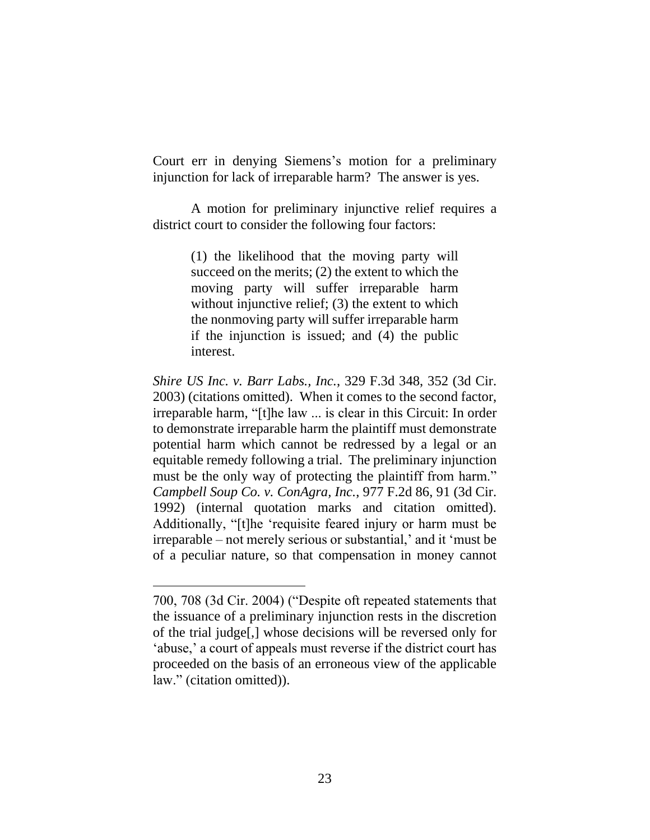Court err in denying Siemens's motion for a preliminary injunction for lack of irreparable harm? The answer is yes.

A motion for preliminary injunctive relief requires a district court to consider the following four factors:

> (1) the likelihood that the moving party will succeed on the merits; (2) the extent to which the moving party will suffer irreparable harm without injunctive relief; (3) the extent to which the nonmoving party will suffer irreparable harm if the injunction is issued; and (4) the public interest.

*Shire US Inc. v. Barr Labs., Inc.*, 329 F.3d 348, 352 (3d Cir. 2003) (citations omitted). When it comes to the second factor, irreparable harm, "[t]he law ... is clear in this Circuit: In order to demonstrate irreparable harm the plaintiff must demonstrate potential harm which cannot be redressed by a legal or an equitable remedy following a trial. The preliminary injunction must be the only way of protecting the plaintiff from harm." *Campbell Soup Co. v. ConAgra, Inc.*, 977 F.2d 86, 91 (3d Cir. 1992) (internal quotation marks and citation omitted). Additionally, "[t]he 'requisite feared injury or harm must be irreparable – not merely serious or substantial,' and it 'must be of a peculiar nature, so that compensation in money cannot

<sup>700, 708 (3</sup>d Cir. 2004) ("Despite oft repeated statements that the issuance of a preliminary injunction rests in the discretion of the trial judge[,] whose decisions will be reversed only for 'abuse,' a court of appeals must reverse if the district court has proceeded on the basis of an erroneous view of the applicable law." (citation omitted)).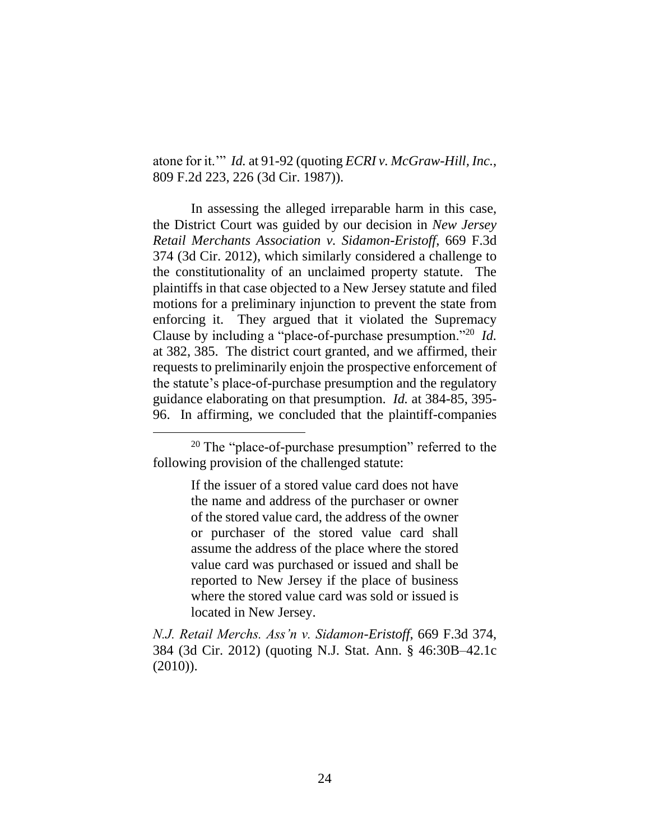atone for it.'" *Id.* at 91-92 (quoting *ECRI v. McGraw-Hill, Inc.*, 809 F.2d 223, 226 (3d Cir. 1987)).

In assessing the alleged irreparable harm in this case, the District Court was guided by our decision in *New Jersey Retail Merchants Association v. Sidamon-Eristoff*, 669 F.3d 374 (3d Cir. 2012), which similarly considered a challenge to the constitutionality of an unclaimed property statute. The plaintiffs in that case objected to a New Jersey statute and filed motions for a preliminary injunction to prevent the state from enforcing it. They argued that it violated the Supremacy Clause by including a "place-of-purchase presumption."<sup>20</sup> *Id.*  at 382, 385. The district court granted, and we affirmed, their requests to preliminarily enjoin the prospective enforcement of the statute's place-of-purchase presumption and the regulatory guidance elaborating on that presumption. *Id.* at 384-85, 395- 96. In affirming, we concluded that the plaintiff-companies

If the issuer of a stored value card does not have the name and address of the purchaser or owner of the stored value card, the address of the owner or purchaser of the stored value card shall assume the address of the place where the stored value card was purchased or issued and shall be reported to New Jersey if the place of business where the stored value card was sold or issued is located in New Jersey.

*N.J. Retail Merchs. Ass'n v. Sidamon-Eristoff*, 669 F.3d 374, 384 (3d Cir. 2012) (quoting N.J. Stat. Ann. § 46:30B–42.1c (2010)).

<sup>&</sup>lt;sup>20</sup> The "place-of-purchase presumption" referred to the following provision of the challenged statute: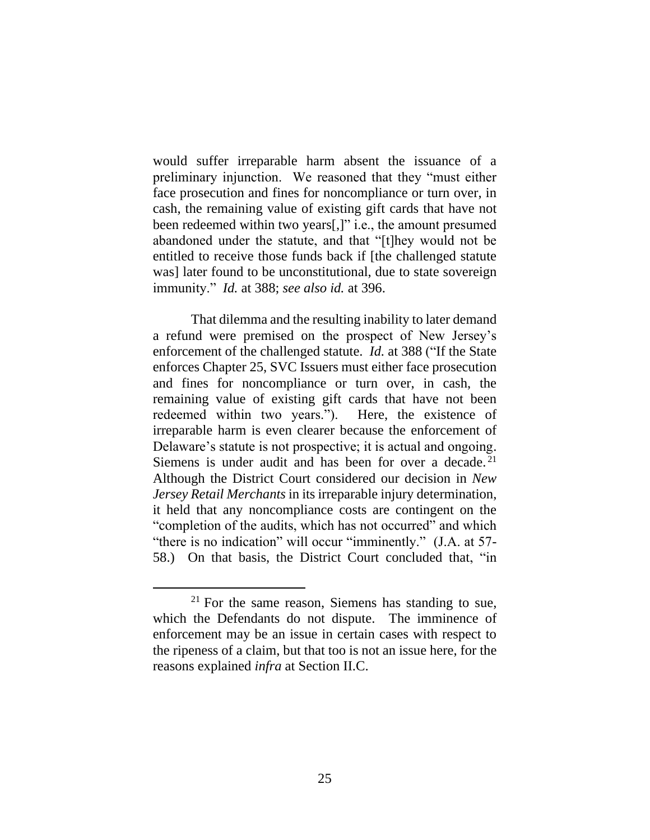would suffer irreparable harm absent the issuance of a preliminary injunction. We reasoned that they "must either face prosecution and fines for noncompliance or turn over, in cash, the remaining value of existing gift cards that have not been redeemed within two years[,]" i.e., the amount presumed abandoned under the statute, and that "[t]hey would not be entitled to receive those funds back if [the challenged statute was] later found to be unconstitutional, due to state sovereign immunity." *Id.* at 388; *see also id.* at 396.

That dilemma and the resulting inability to later demand a refund were premised on the prospect of New Jersey's enforcement of the challenged statute. *Id.* at 388 ("If the State enforces Chapter 25, SVC Issuers must either face prosecution and fines for noncompliance or turn over, in cash, the remaining value of existing gift cards that have not been redeemed within two years."). Here, the existence of irreparable harm is even clearer because the enforcement of Delaware's statute is not prospective; it is actual and ongoing. Siemens is under audit and has been for over a decade.<sup>21</sup> Although the District Court considered our decision in *New Jersey Retail Merchants* in its irreparable injury determination, it held that any noncompliance costs are contingent on the "completion of the audits, which has not occurred" and which "there is no indication" will occur "imminently." (J.A. at 57- 58.) On that basis, the District Court concluded that, "in

 $21$  For the same reason, Siemens has standing to sue, which the Defendants do not dispute. The imminence of enforcement may be an issue in certain cases with respect to the ripeness of a claim, but that too is not an issue here, for the reasons explained *infra* at Section II.C.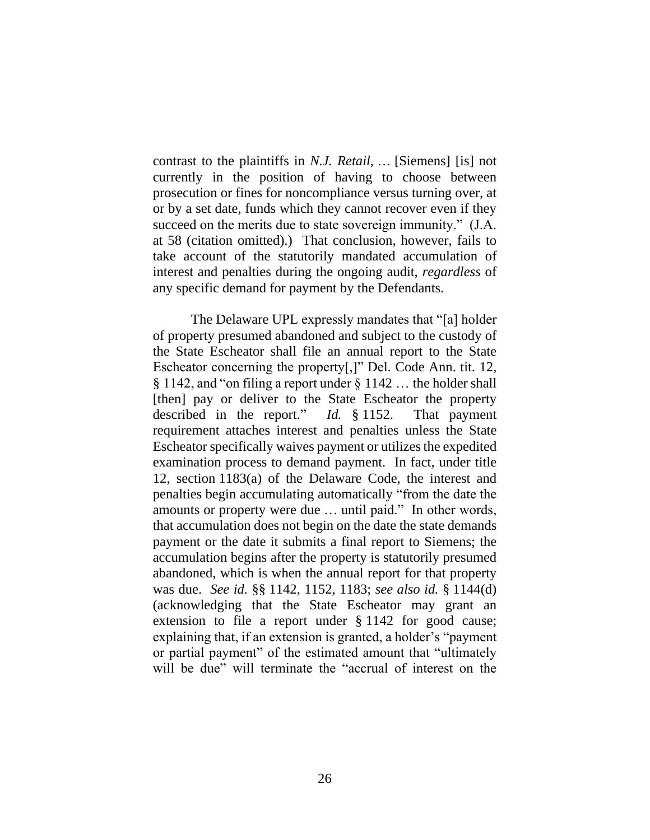contrast to the plaintiffs in *N.J. Retail*, … [Siemens] [is] not currently in the position of having to choose between prosecution or fines for noncompliance versus turning over, at or by a set date, funds which they cannot recover even if they succeed on the merits due to state sovereign immunity." (J.A. at 58 (citation omitted).) That conclusion, however, fails to take account of the statutorily mandated accumulation of interest and penalties during the ongoing audit, *regardless* of any specific demand for payment by the Defendants.

The Delaware UPL expressly mandates that "[a] holder of property presumed abandoned and subject to the custody of the State Escheator shall file an annual report to the State Escheator concerning the property[,]" Del. Code Ann. tit. 12,  $\S 1142$ , and "on filing a report under  $\S 1142$  ... the holder shall [then] pay or deliver to the State Escheator the property described in the report." *Id.* § 1152. That payment requirement attaches interest and penalties unless the State Escheator specifically waives payment or utilizes the expedited examination process to demand payment. In fact, under title 12, section 1183(a) of the Delaware Code, the interest and penalties begin accumulating automatically "from the date the amounts or property were due … until paid." In other words, that accumulation does not begin on the date the state demands payment or the date it submits a final report to Siemens; the accumulation begins after the property is statutorily presumed abandoned, which is when the annual report for that property was due. *See id.* §§ 1142, 1152, 1183; *see also id.* § 1144(d) (acknowledging that the State Escheator may grant an extension to file a report under § 1142 for good cause; explaining that, if an extension is granted, a holder's "payment or partial payment" of the estimated amount that "ultimately will be due" will terminate the "accrual of interest on the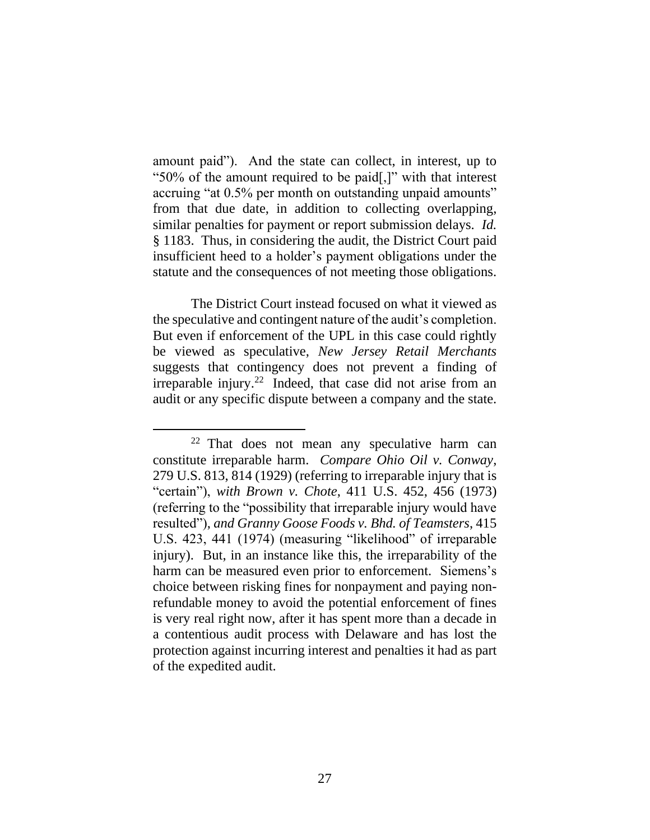amount paid"). And the state can collect, in interest, up to "50% of the amount required to be paid[,]" with that interest accruing "at 0.5% per month on outstanding unpaid amounts" from that due date, in addition to collecting overlapping, similar penalties for payment or report submission delays. *Id.*  § 1183. Thus, in considering the audit, the District Court paid insufficient heed to a holder's payment obligations under the statute and the consequences of not meeting those obligations.

The District Court instead focused on what it viewed as the speculative and contingent nature of the audit's completion. But even if enforcement of the UPL in this case could rightly be viewed as speculative, *New Jersey Retail Merchants*  suggests that contingency does not prevent a finding of irreparable injury.<sup>22</sup> Indeed, that case did not arise from an audit or any specific dispute between a company and the state.

<sup>22</sup> That does not mean any speculative harm can constitute irreparable harm. *Compare Ohio Oil v. Conway*, 279 U.S. 813, 814 (1929) (referring to irreparable injury that is "certain"), *with Brown v. Chote*, 411 U.S. 452, 456 (1973) (referring to the "possibility that irreparable injury would have resulted"), *and Granny Goose Foods v. Bhd. of Teamsters*, 415 U.S. 423, 441 (1974) (measuring "likelihood" of irreparable injury). But, in an instance like this, the irreparability of the harm can be measured even prior to enforcement. Siemens's choice between risking fines for nonpayment and paying nonrefundable money to avoid the potential enforcement of fines is very real right now, after it has spent more than a decade in a contentious audit process with Delaware and has lost the protection against incurring interest and penalties it had as part of the expedited audit.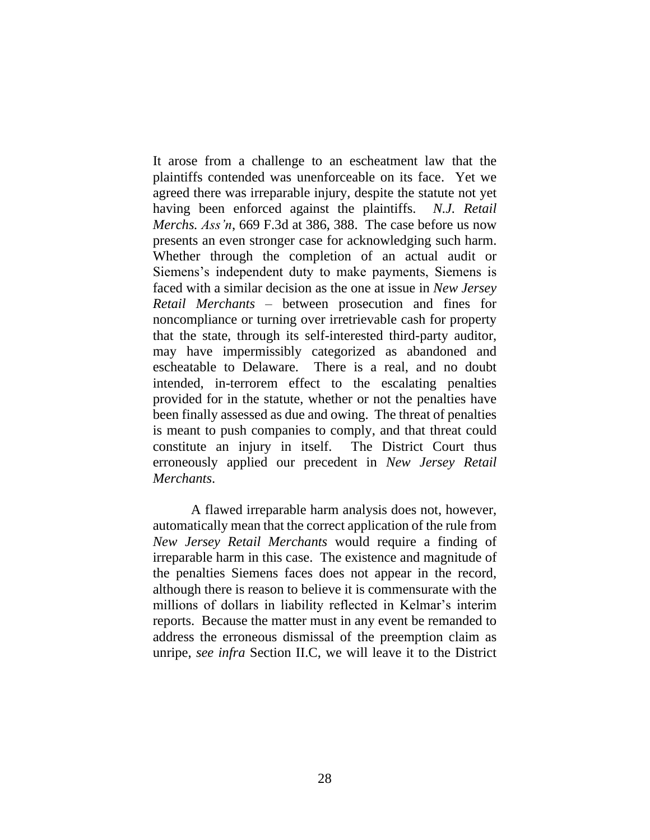It arose from a challenge to an escheatment law that the plaintiffs contended was unenforceable on its face. Yet we agreed there was irreparable injury, despite the statute not yet having been enforced against the plaintiffs. *N.J. Retail Merchs. Ass'n*, 669 F.3d at 386, 388. The case before us now presents an even stronger case for acknowledging such harm. Whether through the completion of an actual audit or Siemens's independent duty to make payments, Siemens is faced with a similar decision as the one at issue in *New Jersey Retail Merchants* – between prosecution and fines for noncompliance or turning over irretrievable cash for property that the state, through its self-interested third-party auditor, may have impermissibly categorized as abandoned and escheatable to Delaware. There is a real, and no doubt intended, in-terrorem effect to the escalating penalties provided for in the statute, whether or not the penalties have been finally assessed as due and owing. The threat of penalties is meant to push companies to comply, and that threat could constitute an injury in itself. The District Court thus erroneously applied our precedent in *New Jersey Retail Merchants*.

A flawed irreparable harm analysis does not, however, automatically mean that the correct application of the rule from *New Jersey Retail Merchants* would require a finding of irreparable harm in this case. The existence and magnitude of the penalties Siemens faces does not appear in the record, although there is reason to believe it is commensurate with the millions of dollars in liability reflected in Kelmar's interim reports. Because the matter must in any event be remanded to address the erroneous dismissal of the preemption claim as unripe, *see infra* Section II.C, we will leave it to the District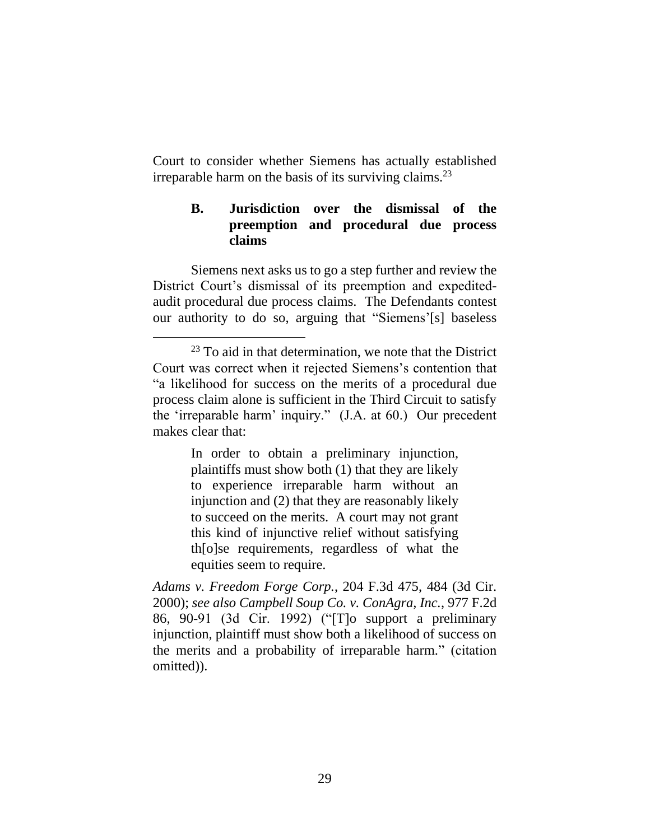Court to consider whether Siemens has actually established irreparable harm on the basis of its surviving claims.<sup>23</sup>

## **B. Jurisdiction over the dismissal of the preemption and procedural due process claims**

Siemens next asks us to go a step further and review the District Court's dismissal of its preemption and expeditedaudit procedural due process claims. The Defendants contest our authority to do so, arguing that "Siemens'[s] baseless

In order to obtain a preliminary injunction, plaintiffs must show both (1) that they are likely to experience irreparable harm without an injunction and (2) that they are reasonably likely to succeed on the merits. A court may not grant this kind of injunctive relief without satisfying th[o]se requirements, regardless of what the equities seem to require.

*Adams v. Freedom Forge Corp.*, 204 F.3d 475, 484 (3d Cir. 2000); *see also Campbell Soup Co. v. ConAgra, Inc.*, 977 F.2d 86, 90-91 (3d Cir. 1992) ("[T]o support a preliminary injunction, plaintiff must show both a likelihood of success on the merits and a probability of irreparable harm." (citation omitted)).

 $23$  To aid in that determination, we note that the District Court was correct when it rejected Siemens's contention that "a likelihood for success on the merits of a procedural due process claim alone is sufficient in the Third Circuit to satisfy the 'irreparable harm' inquiry." (J.A. at 60.) Our precedent makes clear that: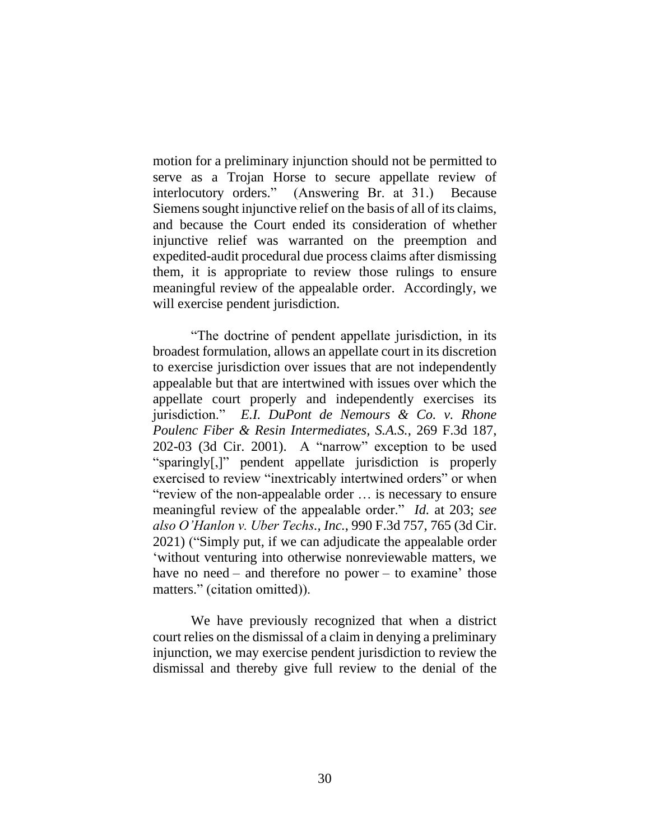motion for a preliminary injunction should not be permitted to serve as a Trojan Horse to secure appellate review of interlocutory orders." (Answering Br. at 31.) Because Siemens sought injunctive relief on the basis of all of its claims, and because the Court ended its consideration of whether injunctive relief was warranted on the preemption and expedited-audit procedural due process claims after dismissing them, it is appropriate to review those rulings to ensure meaningful review of the appealable order. Accordingly, we will exercise pendent jurisdiction.

"The doctrine of pendent appellate jurisdiction, in its broadest formulation, allows an appellate court in its discretion to exercise jurisdiction over issues that are not independently appealable but that are intertwined with issues over which the appellate court properly and independently exercises its jurisdiction." *E.I. DuPont de Nemours & Co. v. Rhone Poulenc Fiber & Resin Intermediates, S.A.S.*, 269 F.3d 187, 202-03 (3d Cir. 2001). A "narrow" exception to be used "sparingly[,]" pendent appellate jurisdiction is properly exercised to review "inextricably intertwined orders" or when "review of the non-appealable order … is necessary to ensure meaningful review of the appealable order." *Id.* at 203; *see also O'Hanlon v. Uber Techs., Inc.*, 990 F.3d 757, 765 (3d Cir. 2021) ("Simply put, if we can adjudicate the appealable order 'without venturing into otherwise nonreviewable matters, we have no need – and therefore no power – to examine' those matters." (citation omitted)).

We have previously recognized that when a district court relies on the dismissal of a claim in denying a preliminary injunction, we may exercise pendent jurisdiction to review the dismissal and thereby give full review to the denial of the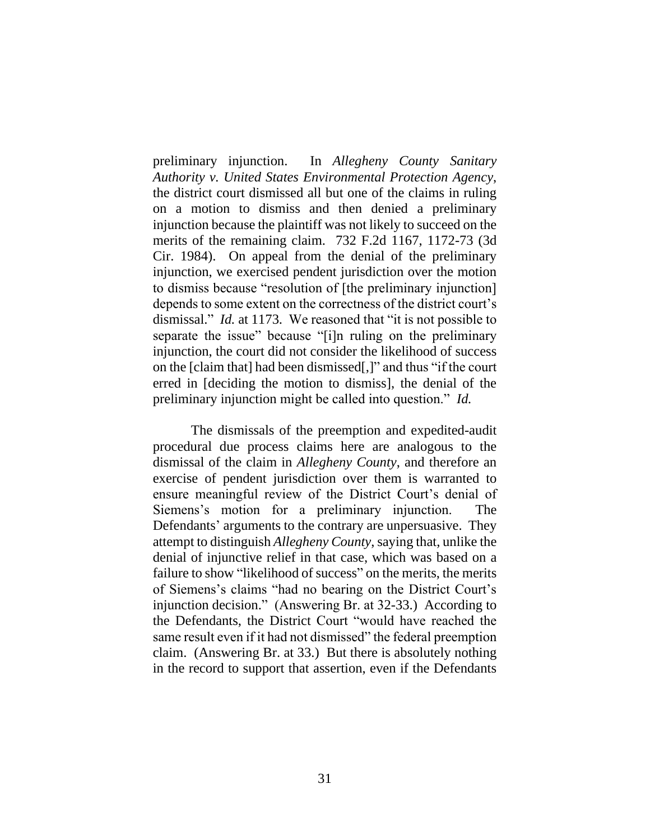preliminary injunction. In *Allegheny County Sanitary Authority v. United States Environmental Protection Agency*, the district court dismissed all but one of the claims in ruling on a motion to dismiss and then denied a preliminary injunction because the plaintiff was not likely to succeed on the merits of the remaining claim. 732 F.2d 1167, 1172-73 (3d Cir. 1984). On appeal from the denial of the preliminary injunction, we exercised pendent jurisdiction over the motion to dismiss because "resolution of [the preliminary injunction] depends to some extent on the correctness of the district court's dismissal." *Id.* at 1173. We reasoned that "it is not possible to separate the issue" because "[i]n ruling on the preliminary injunction, the court did not consider the likelihood of success on the [claim that] had been dismissed[,]" and thus "if the court erred in [deciding the motion to dismiss], the denial of the preliminary injunction might be called into question." *Id.*

The dismissals of the preemption and expedited-audit procedural due process claims here are analogous to the dismissal of the claim in *Allegheny County*, and therefore an exercise of pendent jurisdiction over them is warranted to ensure meaningful review of the District Court's denial of Siemens's motion for a preliminary injunction. The Defendants' arguments to the contrary are unpersuasive. They attempt to distinguish *Allegheny County*, saying that, unlike the denial of injunctive relief in that case, which was based on a failure to show "likelihood of success" on the merits, the merits of Siemens's claims "had no bearing on the District Court's injunction decision." (Answering Br. at 32-33.) According to the Defendants, the District Court "would have reached the same result even if it had not dismissed" the federal preemption claim. (Answering Br. at 33.) But there is absolutely nothing in the record to support that assertion, even if the Defendants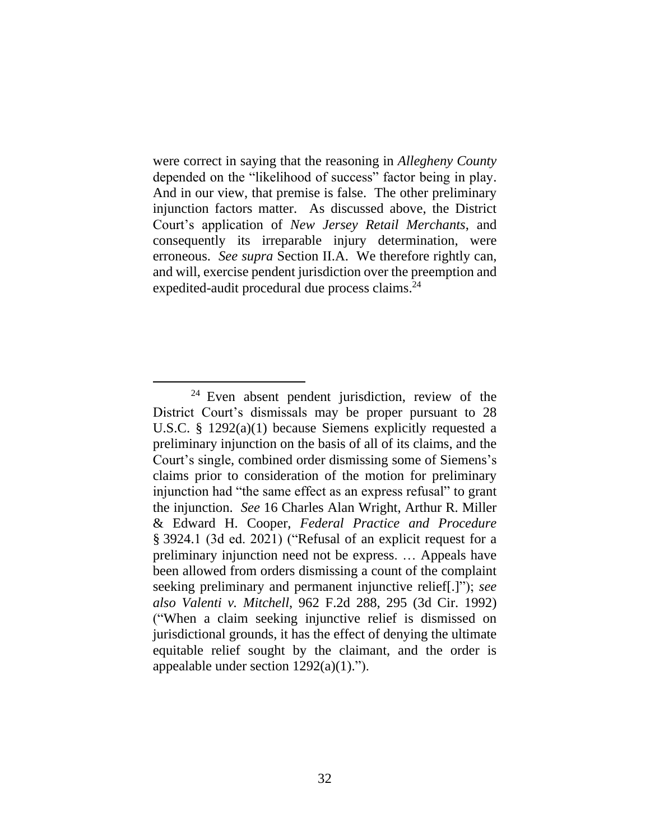were correct in saying that the reasoning in *Allegheny County*  depended on the "likelihood of success" factor being in play. And in our view, that premise is false. The other preliminary injunction factors matter. As discussed above, the District Court's application of *New Jersey Retail Merchants*, and consequently its irreparable injury determination, were erroneous. *See supra* Section II.A. We therefore rightly can, and will, exercise pendent jurisdiction over the preemption and expedited-audit procedural due process claims.<sup>24</sup>

<sup>24</sup> Even absent pendent jurisdiction, review of the District Court's dismissals may be proper pursuant to 28 U.S.C. § 1292(a)(1) because Siemens explicitly requested a preliminary injunction on the basis of all of its claims, and the Court's single, combined order dismissing some of Siemens's claims prior to consideration of the motion for preliminary injunction had "the same effect as an express refusal" to grant the injunction. *See* 16 Charles Alan Wright, Arthur R. Miller & Edward H. Cooper, *Federal Practice and Procedure* § 3924.1 (3d ed. 2021) ("Refusal of an explicit request for a preliminary injunction need not be express. … Appeals have been allowed from orders dismissing a count of the complaint seeking preliminary and permanent injunctive relief[.]"); *see also Valenti v. Mitchell*, 962 F.2d 288, 295 (3d Cir. 1992) ("When a claim seeking injunctive relief is dismissed on jurisdictional grounds, it has the effect of denying the ultimate equitable relief sought by the claimant, and the order is appealable under section 1292(a)(1).").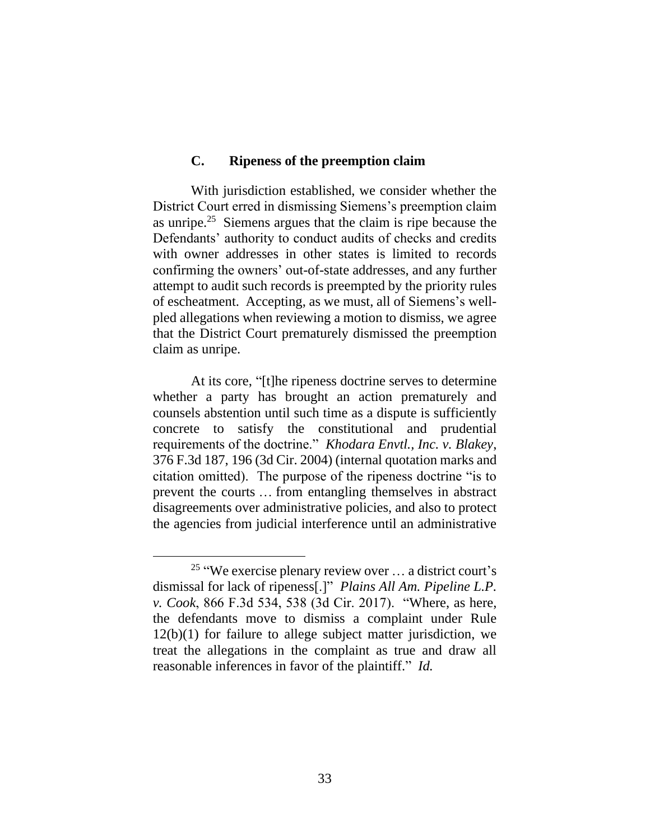### **C. Ripeness of the preemption claim**

With jurisdiction established, we consider whether the District Court erred in dismissing Siemens's preemption claim as unripe. $25$  Siemens argues that the claim is ripe because the Defendants' authority to conduct audits of checks and credits with owner addresses in other states is limited to records confirming the owners' out-of-state addresses, and any further attempt to audit such records is preempted by the priority rules of escheatment. Accepting, as we must, all of Siemens's wellpled allegations when reviewing a motion to dismiss, we agree that the District Court prematurely dismissed the preemption claim as unripe.

At its core, "[t]he ripeness doctrine serves to determine whether a party has brought an action prematurely and counsels abstention until such time as a dispute is sufficiently concrete to satisfy the constitutional and prudential requirements of the doctrine." *Khodara Envtl., Inc. v. Blakey*, 376 F.3d 187, 196 (3d Cir. 2004) (internal quotation marks and citation omitted). The purpose of the ripeness doctrine "is to prevent the courts … from entangling themselves in abstract disagreements over administrative policies, and also to protect the agencies from judicial interference until an administrative

<sup>&</sup>lt;sup>25</sup> "We exercise plenary review over ... a district court's dismissal for lack of ripeness[.]" *Plains All Am. Pipeline L.P. v. Cook*, 866 F.3d 534, 538 (3d Cir. 2017). "Where, as here, the defendants move to dismiss a complaint under Rule 12(b)(1) for failure to allege subject matter jurisdiction, we treat the allegations in the complaint as true and draw all reasonable inferences in favor of the plaintiff." *Id.*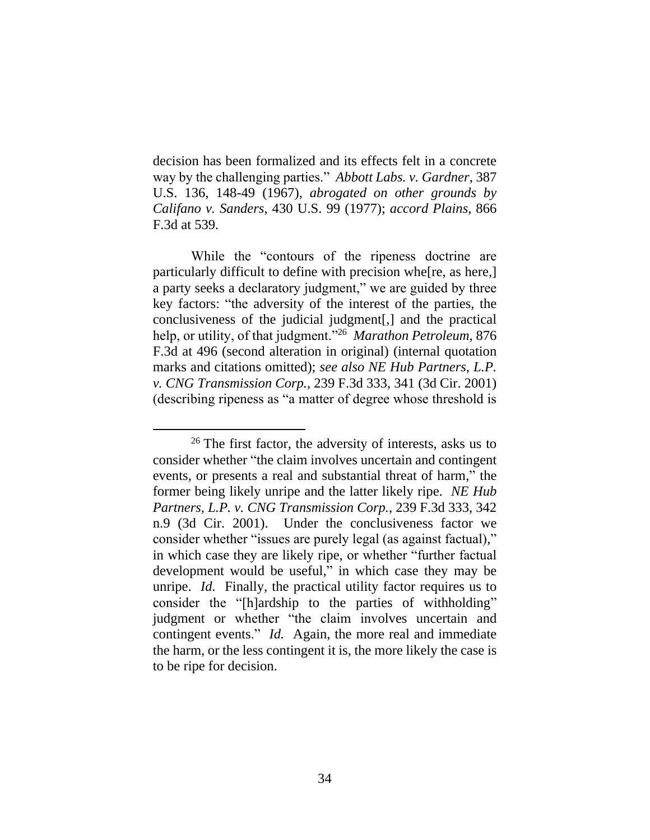decision has been formalized and its effects felt in a concrete way by the challenging parties." *Abbott Labs. v. Gardner*, 387 U.S. 136, 148-49 (1967), *abrogated on other grounds by Califano v. Sanders*, 430 U.S. 99 (1977); *accord Plains*, 866 F.3d at 539.

While the "contours of the ripeness doctrine are particularly difficult to define with precision whe[re, as here,] a party seeks a declaratory judgment," we are guided by three key factors: "the adversity of the interest of the parties, the conclusiveness of the judicial judgment[,] and the practical help, or utility, of that judgment."<sup>26</sup> *Marathon Petroleum*, 876 F.3d at 496 (second alteration in original) (internal quotation marks and citations omitted); *see also NE Hub Partners, L.P. v. CNG Transmission Corp.*, 239 F.3d 333, 341 (3d Cir. 2001) (describing ripeness as "a matter of degree whose threshold is

<sup>&</sup>lt;sup>26</sup> The first factor, the adversity of interests, asks us to consider whether "the claim involves uncertain and contingent events, or presents a real and substantial threat of harm," the former being likely unripe and the latter likely ripe. *NE Hub Partners, L.P. v. CNG Transmission Corp.*, 239 F.3d 333, 342 n.9 (3d Cir. 2001). Under the conclusiveness factor we consider whether "issues are purely legal (as against factual)," in which case they are likely ripe, or whether "further factual development would be useful," in which case they may be unripe. *Id.* Finally, the practical utility factor requires us to consider the "[h]ardship to the parties of withholding" judgment or whether "the claim involves uncertain and contingent events." *Id.* Again, the more real and immediate the harm, or the less contingent it is, the more likely the case is to be ripe for decision.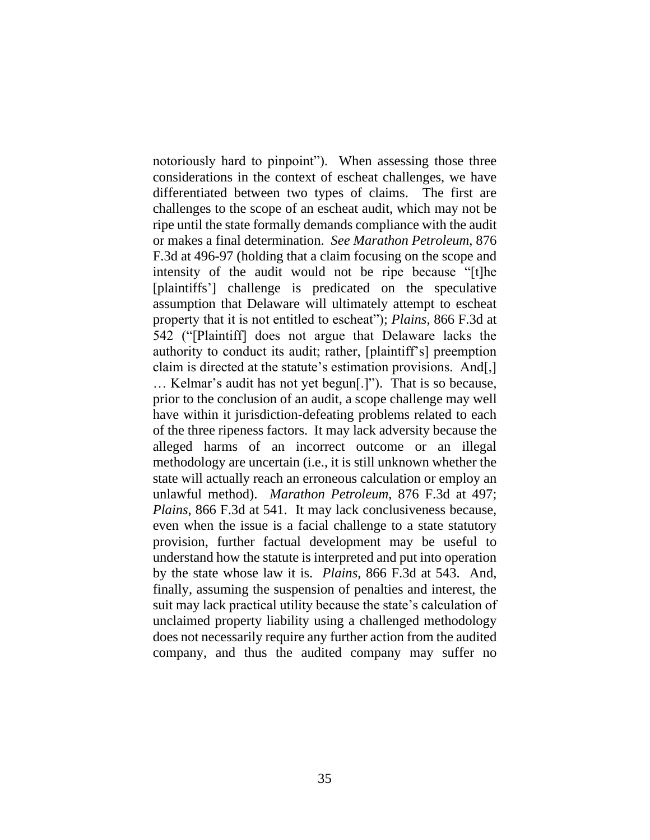notoriously hard to pinpoint"). When assessing those three considerations in the context of escheat challenges, we have differentiated between two types of claims. The first are challenges to the scope of an escheat audit, which may not be ripe until the state formally demands compliance with the audit or makes a final determination. *See Marathon Petroleum*, 876 F.3d at 496-97 (holding that a claim focusing on the scope and intensity of the audit would not be ripe because "[t]he [plaintiffs'] challenge is predicated on the speculative assumption that Delaware will ultimately attempt to escheat property that it is not entitled to escheat"); *Plains*, 866 F.3d at 542 ("[Plaintiff] does not argue that Delaware lacks the authority to conduct its audit; rather, [plaintiff's] preemption claim is directed at the statute's estimation provisions. And[,] … Kelmar's audit has not yet begun[.]"). That is so because, prior to the conclusion of an audit, a scope challenge may well have within it jurisdiction-defeating problems related to each of the three ripeness factors. It may lack adversity because the alleged harms of an incorrect outcome or an illegal methodology are uncertain (i.e., it is still unknown whether the state will actually reach an erroneous calculation or employ an unlawful method). *Marathon Petroleum*, 876 F.3d at 497; *Plains*, 866 F.3d at 541. It may lack conclusiveness because, even when the issue is a facial challenge to a state statutory provision, further factual development may be useful to understand how the statute is interpreted and put into operation by the state whose law it is. *Plains*, 866 F.3d at 543. And, finally, assuming the suspension of penalties and interest, the suit may lack practical utility because the state's calculation of unclaimed property liability using a challenged methodology does not necessarily require any further action from the audited company, and thus the audited company may suffer no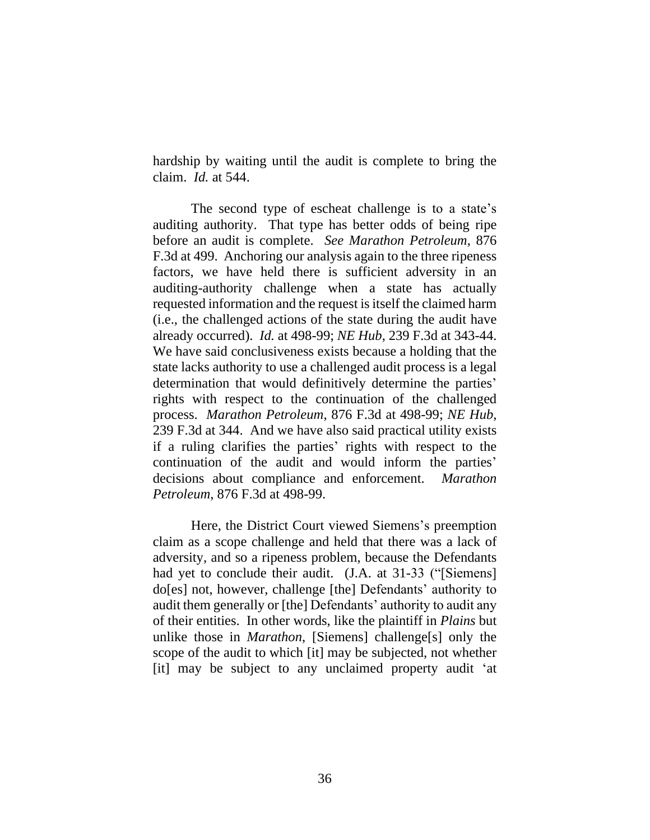hardship by waiting until the audit is complete to bring the claim. *Id.* at 544.

The second type of escheat challenge is to a state's auditing authority. That type has better odds of being ripe before an audit is complete. *See Marathon Petroleum*, 876 F.3d at 499. Anchoring our analysis again to the three ripeness factors, we have held there is sufficient adversity in an auditing-authority challenge when a state has actually requested information and the request is itself the claimed harm (i.e., the challenged actions of the state during the audit have already occurred). *Id.* at 498-99; *NE Hub*, 239 F.3d at 343-44. We have said conclusiveness exists because a holding that the state lacks authority to use a challenged audit process is a legal determination that would definitively determine the parties' rights with respect to the continuation of the challenged process. *Marathon Petroleum*, 876 F.3d at 498-99; *NE Hub*, 239 F.3d at 344. And we have also said practical utility exists if a ruling clarifies the parties' rights with respect to the continuation of the audit and would inform the parties' decisions about compliance and enforcement. *Marathon Petroleum*, 876 F.3d at 498-99.

Here, the District Court viewed Siemens's preemption claim as a scope challenge and held that there was a lack of adversity, and so a ripeness problem, because the Defendants had yet to conclude their audit. (J.A. at 31-33 ("Siemens] do[es] not, however, challenge [the] Defendants' authority to audit them generally or [the] Defendants' authority to audit any of their entities. In other words, like the plaintiff in *Plains* but unlike those in *Marathon*, [Siemens] challenge[s] only the scope of the audit to which [it] may be subjected, not whether [it] may be subject to any unclaimed property audit 'at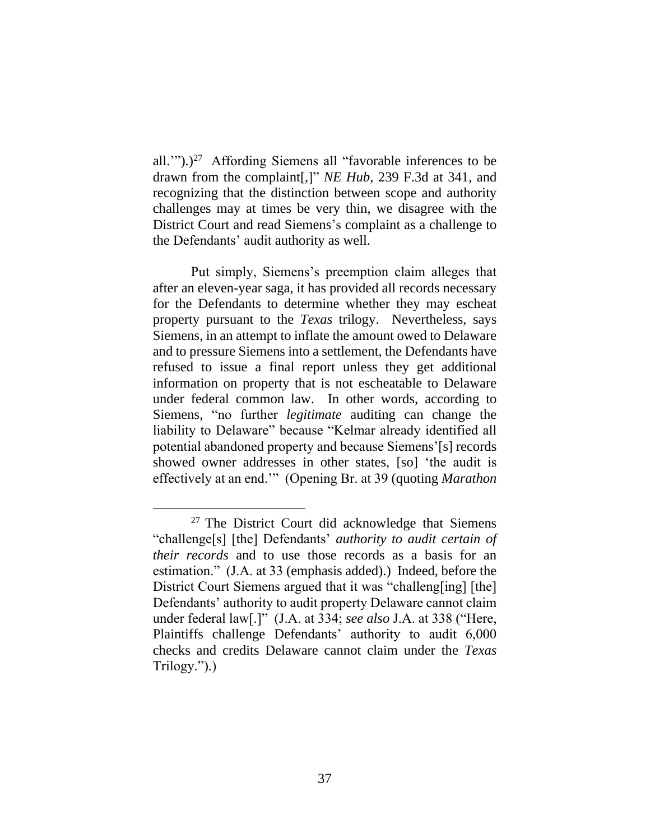all."").)<sup>27</sup> Affording Siemens all "favorable inferences to be drawn from the complaint[,]" *NE Hub*, 239 F.3d at 341, and recognizing that the distinction between scope and authority challenges may at times be very thin, we disagree with the District Court and read Siemens's complaint as a challenge to the Defendants' audit authority as well.

Put simply, Siemens's preemption claim alleges that after an eleven-year saga, it has provided all records necessary for the Defendants to determine whether they may escheat property pursuant to the *Texas* trilogy. Nevertheless, says Siemens, in an attempt to inflate the amount owed to Delaware and to pressure Siemens into a settlement, the Defendants have refused to issue a final report unless they get additional information on property that is not escheatable to Delaware under federal common law. In other words, according to Siemens, "no further *legitimate* auditing can change the liability to Delaware" because "Kelmar already identified all potential abandoned property and because Siemens'[s] records showed owner addresses in other states, [so] 'the audit is effectively at an end.'" (Opening Br. at 39 (quoting *Marathon* 

<sup>&</sup>lt;sup>27</sup> The District Court did acknowledge that Siemens "challenge[s] [the] Defendants' *authority to audit certain of their records* and to use those records as a basis for an estimation." (J.A. at 33 (emphasis added).) Indeed, before the District Court Siemens argued that it was "challeng[ing] [the] Defendants' authority to audit property Delaware cannot claim under federal law[.]" (J.A. at 334; *see also* J.A. at 338 ("Here, Plaintiffs challenge Defendants' authority to audit 6,000 checks and credits Delaware cannot claim under the *Texas*  Trilogy.").)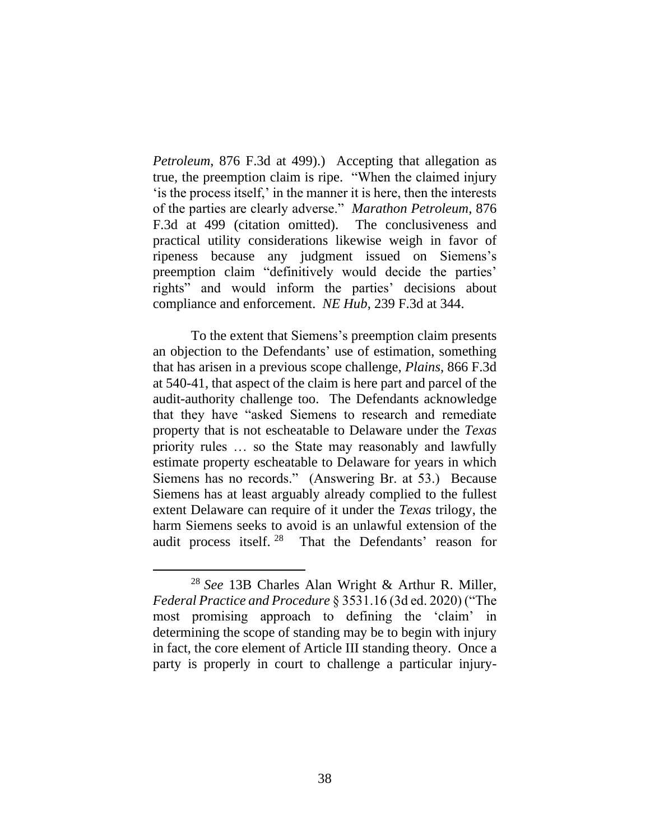*Petroleum*, 876 F.3d at 499).) Accepting that allegation as true, the preemption claim is ripe. "When the claimed injury 'is the process itself,' in the manner it is here, then the interests of the parties are clearly adverse." *Marathon Petroleum*, 876 F.3d at 499 (citation omitted). The conclusiveness and practical utility considerations likewise weigh in favor of ripeness because any judgment issued on Siemens's preemption claim "definitively would decide the parties' rights" and would inform the parties' decisions about compliance and enforcement. *NE Hub*, 239 F.3d at 344.

To the extent that Siemens's preemption claim presents an objection to the Defendants' use of estimation, something that has arisen in a previous scope challenge, *Plains*, 866 F.3d at 540-41, that aspect of the claim is here part and parcel of the audit-authority challenge too. The Defendants acknowledge that they have "asked Siemens to research and remediate property that is not escheatable to Delaware under the *Texas* priority rules … so the State may reasonably and lawfully estimate property escheatable to Delaware for years in which Siemens has no records." (Answering Br. at 53.) Because Siemens has at least arguably already complied to the fullest extent Delaware can require of it under the *Texas* trilogy, the harm Siemens seeks to avoid is an unlawful extension of the audit process itself.<sup>28</sup> That the Defendants' reason for

<sup>28</sup> *See* 13B Charles Alan Wright & Arthur R. Miller, *Federal Practice and Procedure* § 3531.16 (3d ed. 2020) ("The most promising approach to defining the 'claim' in determining the scope of standing may be to begin with injury in fact, the core element of Article III standing theory. Once a party is properly in court to challenge a particular injury-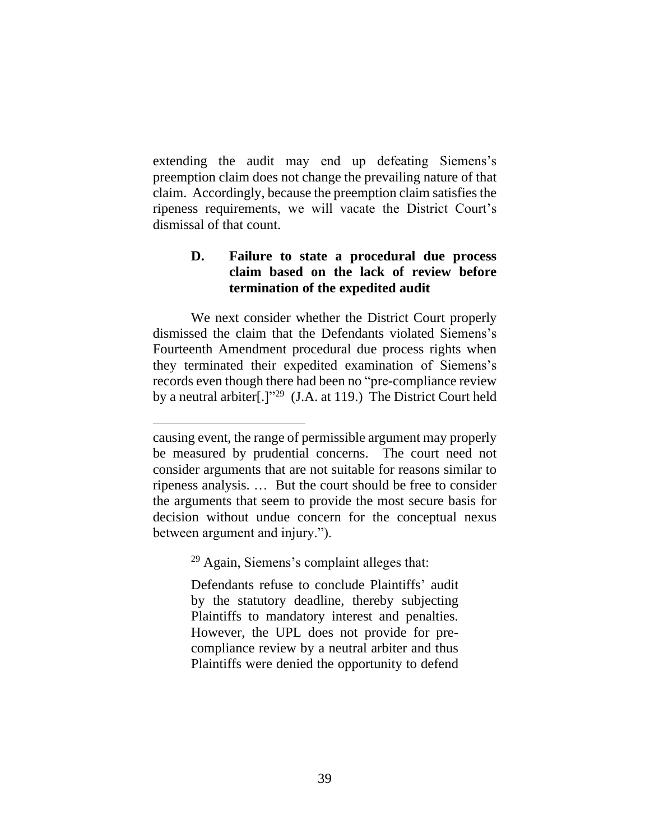extending the audit may end up defeating Siemens's preemption claim does not change the prevailing nature of that claim. Accordingly, because the preemption claim satisfies the ripeness requirements, we will vacate the District Court's dismissal of that count.

# **D. Failure to state a procedural due process claim based on the lack of review before termination of the expedited audit**

We next consider whether the District Court properly dismissed the claim that the Defendants violated Siemens's Fourteenth Amendment procedural due process rights when they terminated their expedited examination of Siemens's records even though there had been no "pre-compliance review by a neutral arbiter<sup>[1]</sup><sup>129</sup> (J.A. at 119.) The District Court held

 $29$  Again, Siemens's complaint alleges that:

Defendants refuse to conclude Plaintiffs' audit by the statutory deadline, thereby subjecting Plaintiffs to mandatory interest and penalties. However, the UPL does not provide for precompliance review by a neutral arbiter and thus Plaintiffs were denied the opportunity to defend

causing event, the range of permissible argument may properly be measured by prudential concerns. The court need not consider arguments that are not suitable for reasons similar to ripeness analysis. … But the court should be free to consider the arguments that seem to provide the most secure basis for decision without undue concern for the conceptual nexus between argument and injury.").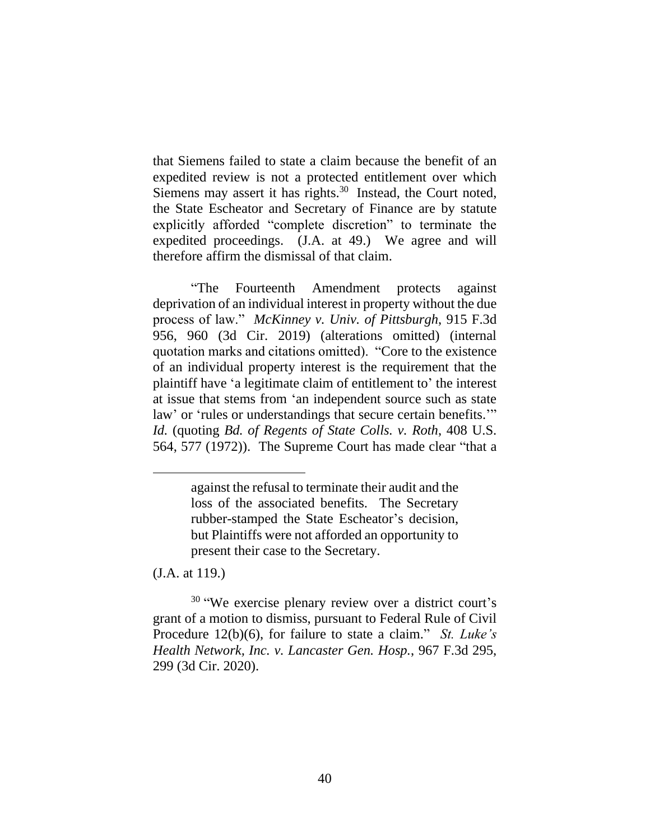that Siemens failed to state a claim because the benefit of an expedited review is not a protected entitlement over which Siemens may assert it has rights.<sup>30</sup> Instead, the Court noted, the State Escheator and Secretary of Finance are by statute explicitly afforded "complete discretion" to terminate the expedited proceedings. (J.A. at 49.) We agree and will therefore affirm the dismissal of that claim.

"The Fourteenth Amendment protects against deprivation of an individual interest in property without the due process of law." *McKinney v. Univ. of Pittsburgh*, 915 F.3d 956, 960 (3d Cir. 2019) (alterations omitted) (internal quotation marks and citations omitted). "Core to the existence of an individual property interest is the requirement that the plaintiff have 'a legitimate claim of entitlement to' the interest at issue that stems from 'an independent source such as state law' or 'rules or understandings that secure certain benefits.'" *Id.* (quoting *Bd. of Regents of State Colls. v. Roth*, 408 U.S. 564, 577 (1972)). The Supreme Court has made clear "that a

(J.A. at 119.)

<sup>30</sup> "We exercise plenary review over a district court's grant of a motion to dismiss, pursuant to Federal Rule of Civil Procedure 12(b)(6), for failure to state a claim." *St. Luke's Health Network, Inc. v. Lancaster Gen. Hosp.*, 967 F.3d 295, 299 (3d Cir. 2020).

against the refusal to terminate their audit and the loss of the associated benefits. The Secretary rubber-stamped the State Escheator's decision, but Plaintiffs were not afforded an opportunity to present their case to the Secretary.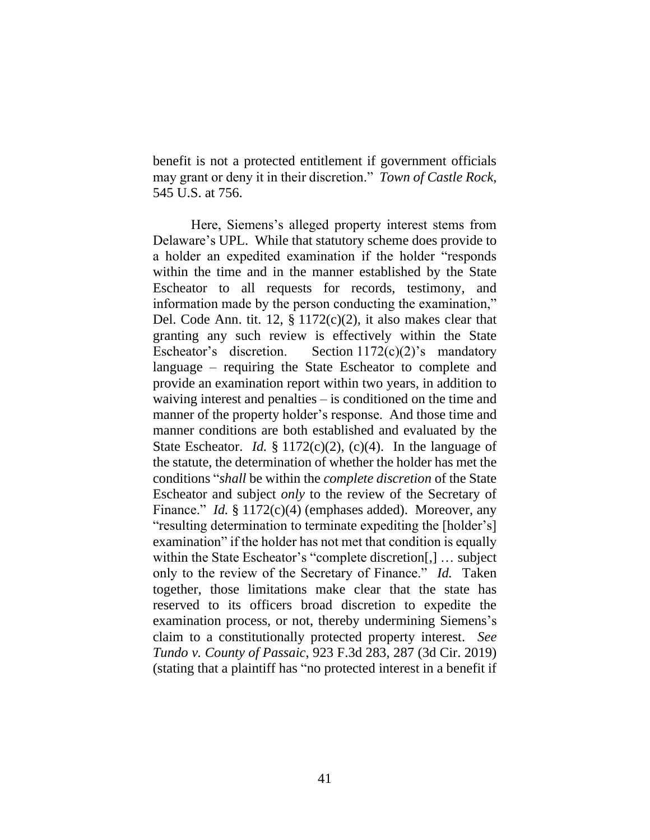benefit is not a protected entitlement if government officials may grant or deny it in their discretion." *Town of Castle Rock*, 545 U.S. at 756.

Here, Siemens's alleged property interest stems from Delaware's UPL. While that statutory scheme does provide to a holder an expedited examination if the holder "responds within the time and in the manner established by the State Escheator to all requests for records, testimony, and information made by the person conducting the examination," Del. Code Ann. tit. 12,  $\S 1172(c)(2)$ , it also makes clear that granting any such review is effectively within the State Escheator's discretion. Section  $1172(c)(2)$ 's mandatory language – requiring the State Escheator to complete and provide an examination report within two years, in addition to waiving interest and penalties – is conditioned on the time and manner of the property holder's response. And those time and manner conditions are both established and evaluated by the State Escheator. *Id.* § 1172(c)(2), (c)(4). In the language of the statute, the determination of whether the holder has met the conditions "*shall* be within the *complete discretion* of the State Escheator and subject *only* to the review of the Secretary of Finance." *Id.* § 1172(c)(4) (emphases added). Moreover, any "resulting determination to terminate expediting the [holder's] examination" if the holder has not met that condition is equally within the State Escheator's "complete discretion[,] … subject only to the review of the Secretary of Finance." *Id.* Taken together, those limitations make clear that the state has reserved to its officers broad discretion to expedite the examination process, or not, thereby undermining Siemens's claim to a constitutionally protected property interest. *See Tundo v. County of Passaic*, 923 F.3d 283, 287 (3d Cir. 2019) (stating that a plaintiff has "no protected interest in a benefit if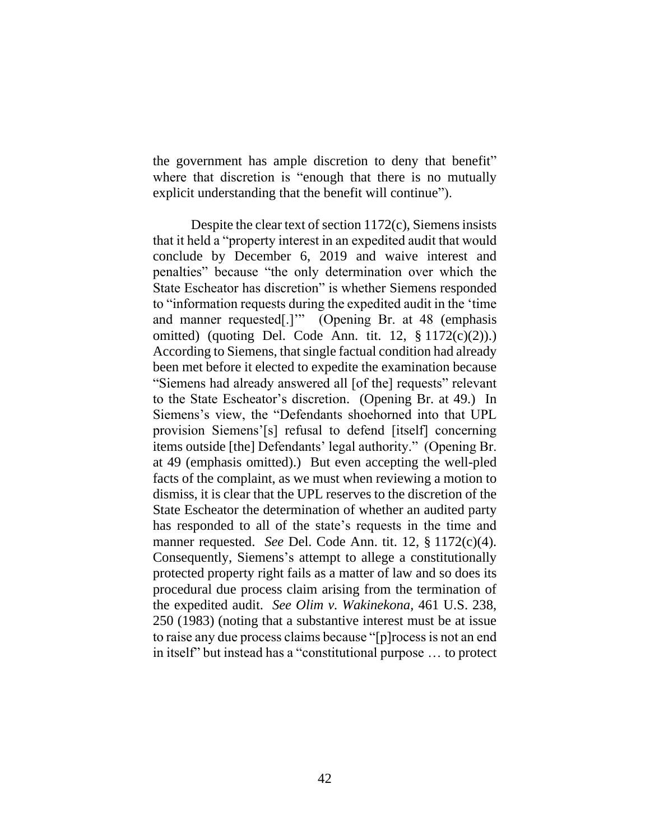the government has ample discretion to deny that benefit" where that discretion is "enough that there is no mutually explicit understanding that the benefit will continue").

Despite the clear text of section 1172(c), Siemens insists that it held a "property interest in an expedited audit that would conclude by December 6, 2019 and waive interest and penalties" because "the only determination over which the State Escheator has discretion" is whether Siemens responded to "information requests during the expedited audit in the 'time and manner requested[.]'" (Opening Br. at 48 (emphasis omitted) (quoting Del. Code Ann. tit. 12, § 1172(c)(2)).) According to Siemens, that single factual condition had already been met before it elected to expedite the examination because "Siemens had already answered all [of the] requests" relevant to the State Escheator's discretion. (Opening Br. at 49.) In Siemens's view, the "Defendants shoehorned into that UPL provision Siemens'[s] refusal to defend [itself] concerning items outside [the] Defendants' legal authority." (Opening Br. at 49 (emphasis omitted).) But even accepting the well-pled facts of the complaint, as we must when reviewing a motion to dismiss, it is clear that the UPL reserves to the discretion of the State Escheator the determination of whether an audited party has responded to all of the state's requests in the time and manner requested. *See* Del. Code Ann. tit. 12, § 1172(c)(4). Consequently, Siemens's attempt to allege a constitutionally protected property right fails as a matter of law and so does its procedural due process claim arising from the termination of the expedited audit. *See Olim v. Wakinekona*, 461 U.S. 238, 250 (1983) (noting that a substantive interest must be at issue to raise any due process claims because "[p]rocess is not an end in itself" but instead has a "constitutional purpose … to protect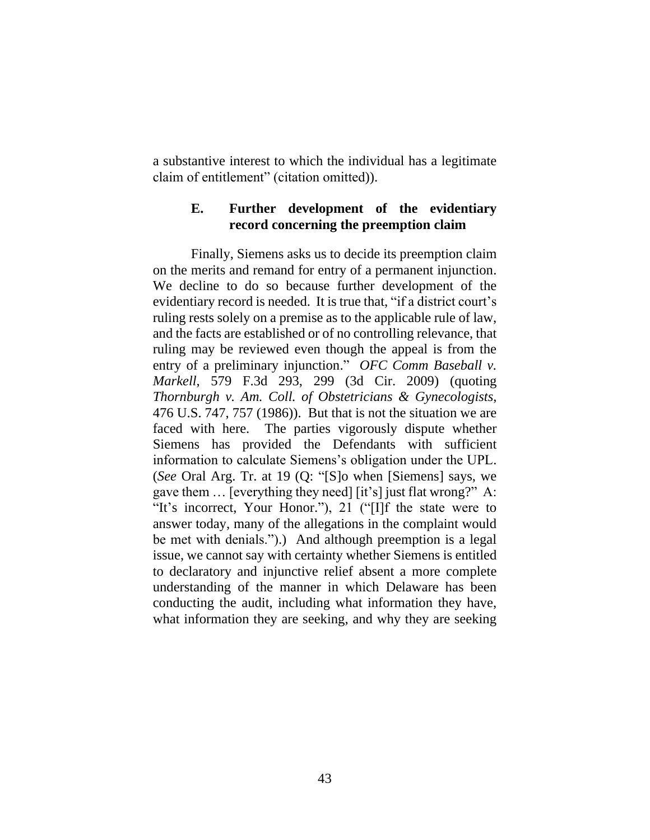a substantive interest to which the individual has a legitimate claim of entitlement" (citation omitted)).

## **E. Further development of the evidentiary record concerning the preemption claim**

Finally, Siemens asks us to decide its preemption claim on the merits and remand for entry of a permanent injunction. We decline to do so because further development of the evidentiary record is needed. It is true that, "if a district court's ruling rests solely on a premise as to the applicable rule of law, and the facts are established or of no controlling relevance, that ruling may be reviewed even though the appeal is from the entry of a preliminary injunction." *OFC Comm Baseball v. Markell*, 579 F.3d 293, 299 (3d Cir. 2009) (quoting *Thornburgh v. Am. Coll. of Obstetricians & Gynecologists*, 476 U.S. 747, 757 (1986)). But that is not the situation we are faced with here. The parties vigorously dispute whether Siemens has provided the Defendants with sufficient information to calculate Siemens's obligation under the UPL. (*See* Oral Arg. Tr. at 19 (Q: "[S]o when [Siemens] says, we gave them … [everything they need] [it's] just flat wrong?" A: "It's incorrect, Your Honor."), 21 ("[I]f the state were to answer today, many of the allegations in the complaint would be met with denials.").) And although preemption is a legal issue, we cannot say with certainty whether Siemens is entitled to declaratory and injunctive relief absent a more complete understanding of the manner in which Delaware has been conducting the audit, including what information they have, what information they are seeking, and why they are seeking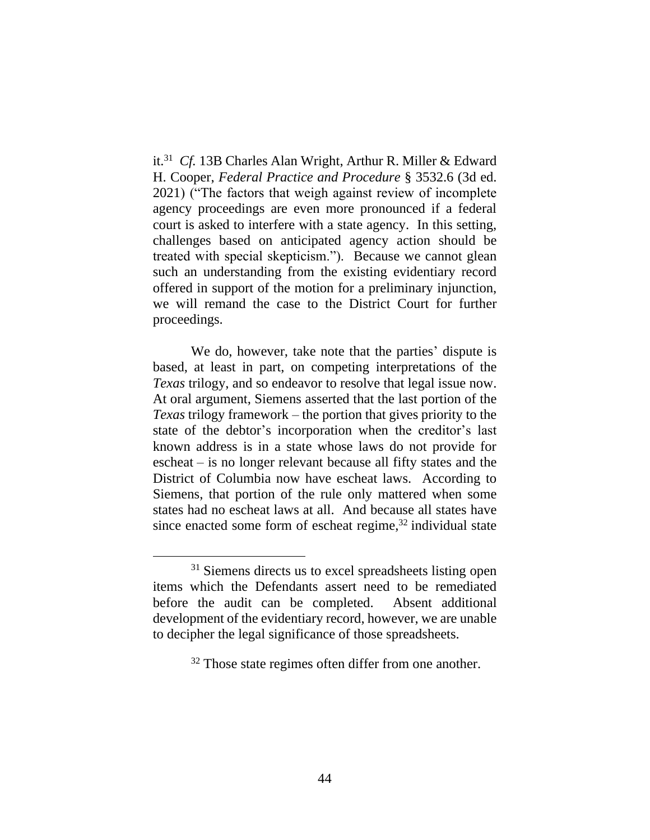it. 31 *Cf.* 13B Charles Alan Wright, Arthur R. Miller & Edward H. Cooper, *Federal Practice and Procedure* § 3532.6 (3d ed. 2021) ("The factors that weigh against review of incomplete agency proceedings are even more pronounced if a federal court is asked to interfere with a state agency. In this setting, challenges based on anticipated agency action should be treated with special skepticism."). Because we cannot glean such an understanding from the existing evidentiary record offered in support of the motion for a preliminary injunction, we will remand the case to the District Court for further proceedings.

We do, however, take note that the parties' dispute is based, at least in part, on competing interpretations of the *Texas* trilogy, and so endeavor to resolve that legal issue now. At oral argument, Siemens asserted that the last portion of the *Texas* trilogy framework – the portion that gives priority to the state of the debtor's incorporation when the creditor's last known address is in a state whose laws do not provide for escheat – is no longer relevant because all fifty states and the District of Columbia now have escheat laws. According to Siemens, that portion of the rule only mattered when some states had no escheat laws at all. And because all states have since enacted some form of escheat regime, $32$  individual state

 $31$  Siemens directs us to excel spreadsheets listing open items which the Defendants assert need to be remediated before the audit can be completed. Absent additional development of the evidentiary record, however, we are unable to decipher the legal significance of those spreadsheets.

<sup>&</sup>lt;sup>32</sup> Those state regimes often differ from one another.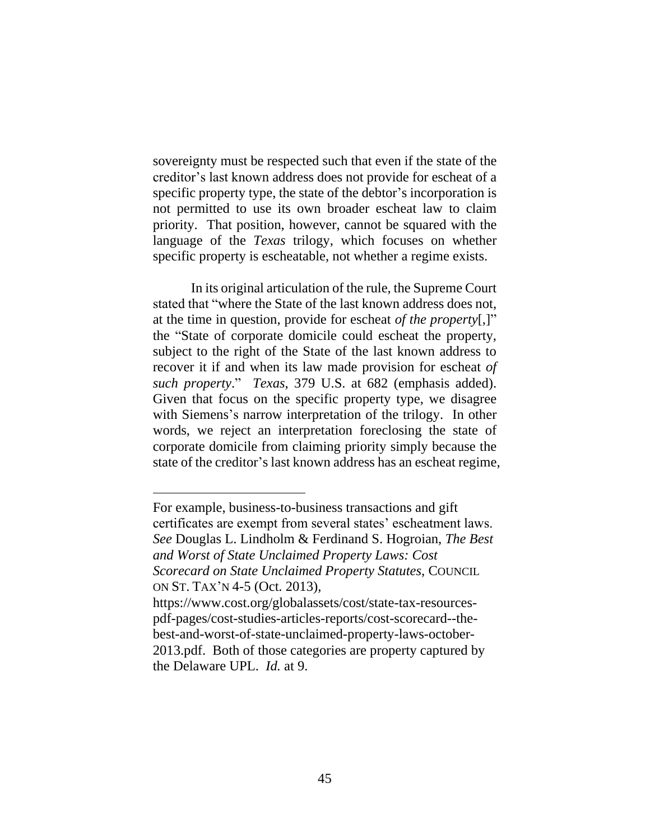sovereignty must be respected such that even if the state of the creditor's last known address does not provide for escheat of a specific property type, the state of the debtor's incorporation is not permitted to use its own broader escheat law to claim priority. That position, however, cannot be squared with the language of the *Texas* trilogy, which focuses on whether specific property is escheatable, not whether a regime exists.

In its original articulation of the rule, the Supreme Court stated that "where the State of the last known address does not, at the time in question, provide for escheat *of the property*[,]" the "State of corporate domicile could escheat the property, subject to the right of the State of the last known address to recover it if and when its law made provision for escheat *of such property*." *Texas*, 379 U.S. at 682 (emphasis added). Given that focus on the specific property type, we disagree with Siemens's narrow interpretation of the trilogy. In other words, we reject an interpretation foreclosing the state of corporate domicile from claiming priority simply because the state of the creditor's last known address has an escheat regime,

For example, business-to-business transactions and gift certificates are exempt from several states' escheatment laws. *See* Douglas L. Lindholm & Ferdinand S. Hogroian, *The Best and Worst of State Unclaimed Property Laws: Cost Scorecard on State Unclaimed Property Statutes*, COUNCIL ON ST. TAX'N 4-5 (Oct. 2013),

https://www.cost.org/globalassets/cost/state-tax-resourcespdf-pages/cost-studies-articles-reports/cost-scorecard--thebest-and-worst-of-state-unclaimed-property-laws-october-2013.pdf. Both of those categories are property captured by the Delaware UPL. *Id.* at 9.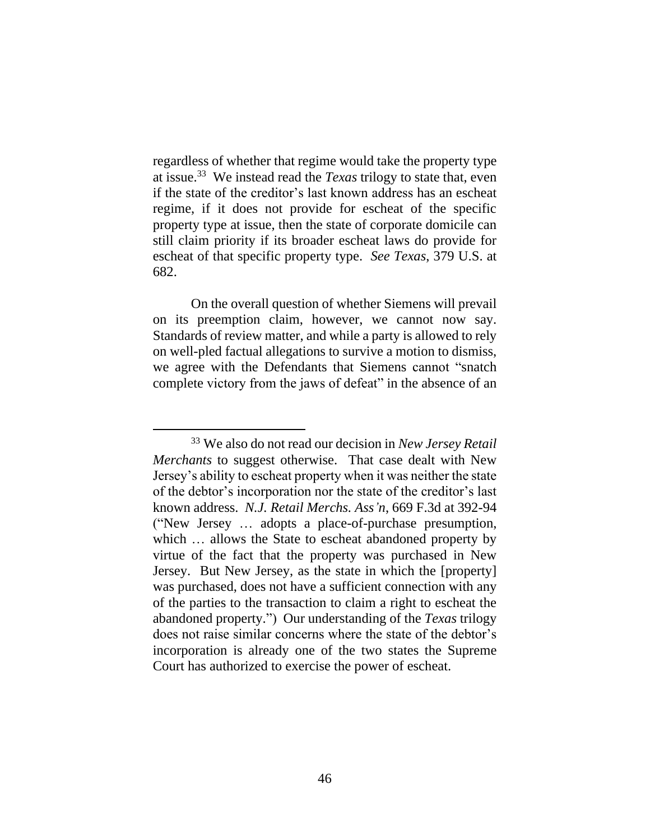regardless of whether that regime would take the property type at issue.<sup>33</sup> We instead read the *Texas* trilogy to state that, even if the state of the creditor's last known address has an escheat regime, if it does not provide for escheat of the specific property type at issue, then the state of corporate domicile can still claim priority if its broader escheat laws do provide for escheat of that specific property type. *See Texas*, 379 U.S. at 682.

On the overall question of whether Siemens will prevail on its preemption claim, however, we cannot now say. Standards of review matter, and while a party is allowed to rely on well-pled factual allegations to survive a motion to dismiss, we agree with the Defendants that Siemens cannot "snatch complete victory from the jaws of defeat" in the absence of an

<sup>33</sup> We also do not read our decision in *New Jersey Retail Merchants* to suggest otherwise. That case dealt with New Jersey's ability to escheat property when it was neither the state of the debtor's incorporation nor the state of the creditor's last known address. *N.J. Retail Merchs. Ass'n*, 669 F.3d at 392-94 ("New Jersey … adopts a place-of-purchase presumption, which … allows the State to escheat abandoned property by virtue of the fact that the property was purchased in New Jersey. But New Jersey, as the state in which the [property] was purchased, does not have a sufficient connection with any of the parties to the transaction to claim a right to escheat the abandoned property.") Our understanding of the *Texas* trilogy does not raise similar concerns where the state of the debtor's incorporation is already one of the two states the Supreme Court has authorized to exercise the power of escheat.